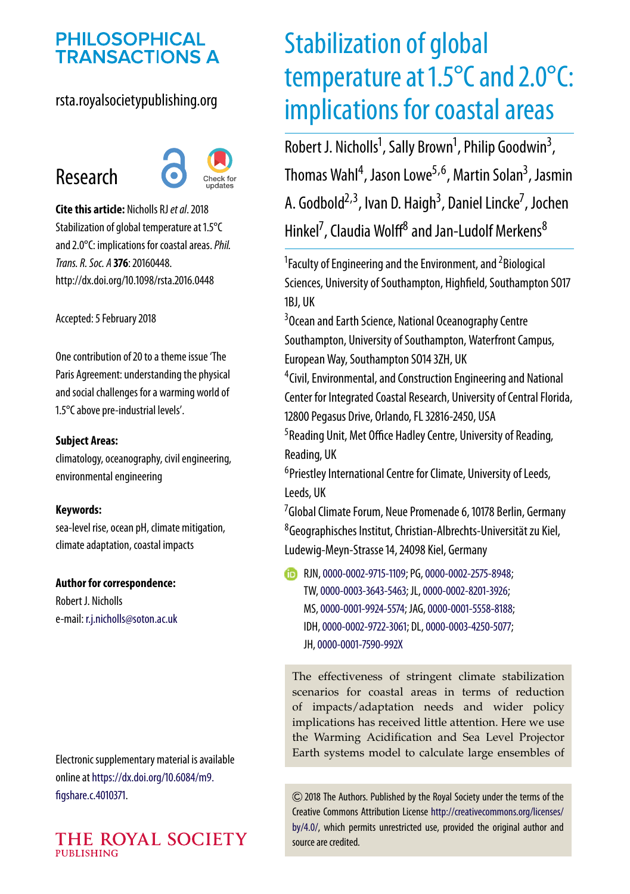# **PHILOSOPHICAL TRANSACTIONS A**

#### rsta.royalsocietypublishing.org

# Research



**Cite this article:** Nicholls RJ*et al*. 2018 Stabilization of global temperature at 1.5°C and 2.0°C: implications for coastal areas.*Phil. Trans. R. Soc. A* **376**: 20160448. http://dx.doi.org/10.1098/rsta.2016.0448

Accepted: 5 February 2018

One contribution of 20 to a theme issue 'The [Paris Agreement: understanding the physical](http://dx.doi.org/10.1098/rsta/376/2119) and social challenges for a warming world of 1.5°C above pre-industrial levels'.

#### **Subject Areas:**

climatology, oceanography, civil engineering, environmental engineering

#### **Keywords:**

sea-level rise, ocean pH, climate mitigation, climate adaptation, coastal impacts

#### **Author for correspondence:**

Robert J. Nicholls e-mail: [r.j.nicholls@soton.ac.uk](mailto:r.j.nicholls@soton.ac.uk)

Electronic supplementary material is available online at [https://dx.doi.org/10.6084/m9.](https://dx.doi.org/10.6084/m9.figshare.c.4010371) [figshare.c.4010371.](https://dx.doi.org/10.6084/m9.figshare.c.4010371)

#### THE ROYAL SOCIETY PUBLISHING

# Stabilization of global temperature at 1.5°C and 2.0°C: implications for coastal areas

Robert J. Nicholls<sup>1</sup>, Sally Brown<sup>1</sup>, Philip Goodwin<sup>3</sup> , Thomas Wahl<sup>4</sup>, Jason Lowe<sup>5,6</sup>, Martin Solan<sup>3</sup>, Jasmin A. Godbold<sup>2,3</sup>, Ivan D. Haigh<sup>3</sup>, Daniel Lincke<sup>7</sup>, Jochen Hinkel<sup>7</sup>, Claudia Wolff<sup>8</sup> and Jan-Ludolf Merkens<sup>8</sup>

<sup>1</sup> Faculty of Engineering and the Environment, and <sup>2</sup> Biological Sciences, University of Southampton, Highfield, Southampton SO17 1BJ, UK

<sup>3</sup> Ocean and Earth Science, National Oceanography Centre Southampton, University of Southampton, Waterfront Campus, European Way, Southampton SO14 3ZH, UK

4 Civil, Environmental, and Construction Engineering and National Center for Integrated Coastal Research, University of Central Florida, 12800 Pegasus Drive, Orlando, FL 32816-2450, USA

<sup>5</sup> Reading Unit, Met Office Hadley Centre, University of Reading, Reading, UK

6 Priestley International Centre for Climate, University of Leeds, Leeds, UK

<sup>7</sup>Global Climate Forum, Neue Promenade 6, 10178 Berlin, Germany 8 Geographisches Institut, Christian-Albrechts-Universität zu Kiel, Ludewig-Meyn-Strasse 14, 24098 Kiel, Germany

**B** RJN, [0000-0002-9715-1109;](http://orcid.org/0000-0002-9715-1109) PG, [0000-0002-2575-8948;](http://orcid.org/0000-0002-2575-8948) TW,[0000-0003-3643-5463;](http://orcid.org/0000-0003-3643-5463) JL,[0000-0002-8201-3926;](http://orcid.org/0000-0002-8201-3926) MS,[0000-0001-9924-5574;](http://orcid.org/0000-0001-9924-5574) JAG,[0000-0001-5558-8188;](http://orcid.org/0000-0001-5558-8188) IDH,[0000-0002-9722-3061;](http://orcid.org/0000-0002-9722-3061) DL,[0000-0003-4250-5077;](http://orcid.org/0000-0003-4250-5077) JH,[0000-0001-7590-992X](http://orcid.org/0000-0001-7590-992X)

The effectiveness of stringent climate stabilization scenarios for coastal areas in terms of reduction of impacts/adaptation needs and wider policy implications has received little attention. Here we use the Warming Acidification and Sea Level Projector Earth systems model to calculate large ensembles of

2018 The Authors. Published by the Royal Society under the terms of the Creative Commons Attribution License [http://creativecommons.org/licenses/](http://creativecommons.org/licenses/by/4.0/) [by/4.0/,](http://creativecommons.org/licenses/by/4.0/) which permits unrestricted use, provided the original author and source are credited.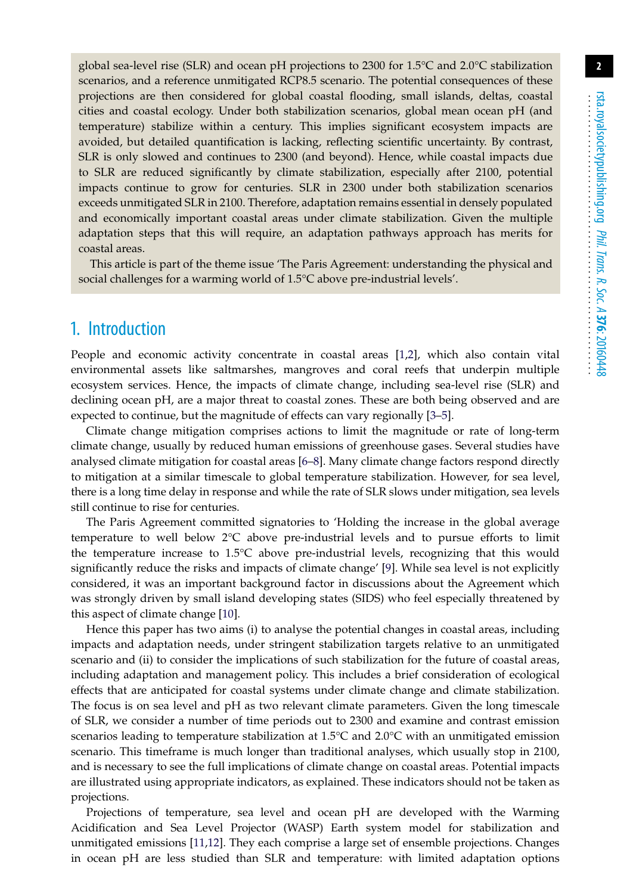global sea-level rise (SLR) and ocean pH projections to 2300 for 1.5°C and 2.0°C stabilization scenarios, and a reference unmitigated RCP8.5 scenario. The potential consequences of these projections are then considered for global coastal flooding, small islands, deltas, coastal cities and coastal ecology. Under both stabilization scenarios, global mean ocean pH (and temperature) stabilize within a century. This implies significant ecosystem impacts are avoided, but detailed quantification is lacking, reflecting scientific uncertainty. By contrast, SLR is only slowed and continues to 2300 (and beyond). Hence, while coastal impacts due to SLR are reduced significantly by climate stabilization, especially after 2100, potential impacts continue to grow for centuries. SLR in 2300 under both stabilization scenarios exceeds unmitigated SLR in 2100. Therefore, adaptation remains essential in densely populated and economically important coastal areas under climate stabilization. Given the multiple adaptation steps that this will require, an adaptation pathways approach has merits for coastal areas.

This article is part of the theme issue 'The Paris Agreement: understanding the physical and social challenges for a warming world of 1.5°C above pre-industrial levels'.

#### 1. Introduction

People and economic activity concentrate in coastal areas [\[1](#page-13-0)[,2\]](#page-13-1), which also contain vital environmental assets like saltmarshes, mangroves and coral reefs that underpin multiple ecosystem services. Hence, the impacts of climate change, including sea-level rise (SLR) and declining ocean pH, are a major threat to coastal zones. These are both being observed and are expected to continue, but the magnitude of effects can vary regionally [\[3](#page-13-2)[–5\]](#page-13-3).

Climate change mitigation comprises actions to limit the magnitude or rate of long-term climate change, usually by reduced human emissions of greenhouse gases. Several studies have analysed climate mitigation for coastal areas [\[6](#page-13-4)[–8\]](#page-13-5). Many climate change factors respond directly to mitigation at a similar timescale to global temperature stabilization. However, for sea level, there is a long time delay in response and while the rate of SLR slows under mitigation, sea levels still continue to rise for centuries.

The Paris Agreement committed signatories to 'Holding the increase in the global average temperature to well below 2°C above pre-industrial levels and to pursue efforts to limit the temperature increase to 1.5°C above pre-industrial levels, recognizing that this would significantly reduce the risks and impacts of climate change' [\[9\]](#page-13-6). While sea level is not explicitly considered, it was an important background factor in discussions about the Agreement which was strongly driven by small island developing states (SIDS) who feel especially threatened by this aspect of climate change [\[10\]](#page-13-7).

Hence this paper has two aims (i) to analyse the potential changes in coastal areas, including impacts and adaptation needs, under stringent stabilization targets relative to an unmitigated scenario and (ii) to consider the implications of such stabilization for the future of coastal areas, including adaptation and management policy. This includes a brief consideration of ecological effects that are anticipated for coastal systems under climate change and climate stabilization. The focus is on sea level and pH as two relevant climate parameters. Given the long timescale of SLR, we consider a number of time periods out to 2300 and examine and contrast emission scenarios leading to temperature stabilization at 1.5°C and 2.0°C with an unmitigated emission scenario. This timeframe is much longer than traditional analyses, which usually stop in 2100, and is necessary to see the full implications of climate change on coastal areas. Potential impacts are illustrated using appropriate indicators, as explained. These indicators should not be taken as projections.

Projections of temperature, sea level and ocean pH are developed with the Warming Acidification and Sea Level Projector (WASP) Earth system model for stabilization and unmitigated emissions [\[11,](#page-13-8)[12\]](#page-13-9). They each comprise a large set of ensemble projections. Changes in ocean pH are less studied than SLR and temperature: with limited adaptation options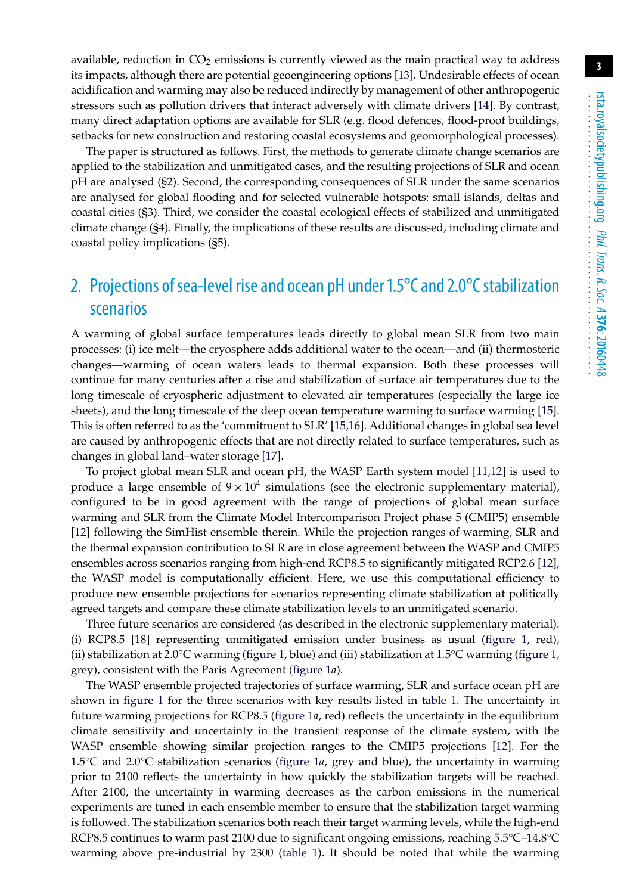available, reduction in  $CO<sub>2</sub>$  emissions is currently viewed as the main practical way to address its impacts, although there are potential geoengineering options [\[13\]](#page-14-0). Undesirable effects of ocean acidification and warming may also be reduced indirectly by management of other anthropogenic stressors such as pollution drivers that interact adversely with climate drivers [\[14\]](#page-14-1). By contrast, many direct adaptation options are available for SLR (e.g. flood defences, flood-proof buildings, setbacks for new construction and restoring coastal ecosystems and geomorphological processes).

The paper is structured as follows. First, the methods to generate climate change scenarios are applied to the stabilization and unmitigated cases, and the resulting projections of SLR and ocean pH are analysed (§2). Second, the corresponding consequences of SLR under the same scenarios are analysed for global flooding and for selected vulnerable hotspots: small islands, deltas and coastal cities (§3). Third, we consider the coastal ecological effects of stabilized and unmitigated climate change (§4). Finally, the implications of these results are discussed, including climate and coastal policy implications (§5).

# 2. Projections of sea-level rise and ocean pH under  $1.5^{\circ}$ C and  $2.0^{\circ}$ C stabilization scenarios

A warming of global surface temperatures leads directly to global mean SLR from two main processes: (i) ice melt—the cryosphere adds additional water to the ocean—and (ii) thermosteric changes—warming of ocean waters leads to thermal expansion. Both these processes will continue for many centuries after a rise and stabilization of surface air temperatures due to the long timescale of cryospheric adjustment to elevated air temperatures (especially the large ice sheets), and the long timescale of the deep ocean temperature warming to surface warming [\[15\]](#page-14-2). This is often referred to as the 'commitment to SLR' [\[15,](#page-14-2)[16\]](#page-14-3). Additional changes in global sea level are caused by anthropogenic effects that are not directly related to surface temperatures, such as changes in global land–water storage [\[17\]](#page-14-4).

To project global mean SLR and ocean pH, the WASP Earth system model [\[11](#page-13-8)[,12\]](#page-13-9) is used to produce a large ensemble of  $9 \times 10^4$  simulations (see the electronic supplementary material), configured to be in good agreement with the range of projections of global mean surface warming and SLR from the Climate Model Intercomparison Project phase 5 (CMIP5) ensemble [\[12\]](#page-13-9) following the SimHist ensemble therein. While the projection ranges of warming, SLR and the thermal expansion contribution to SLR are in close agreement between the WASP and CMIP5 ensembles across scenarios ranging from high-end RCP8.5 to significantly mitigated RCP2.6 [\[12\]](#page-13-9), the WASP model is computationally efficient. Here, we use this computational efficiency to produce new ensemble projections for scenarios representing climate stabilization at politically agreed targets and compare these climate stabilization levels to an unmitigated scenario.

Three future scenarios are considered (as described in the electronic supplementary material): (i) RCP8.5 [\[18\]](#page-14-5) representing unmitigated emission under business as usual [\(figure 1,](#page-3-0) red), (ii) stabilization at 2.0°C warming [\(figure 1,](#page-3-0) blue) and (iii) stabilization at 1.5°C warming [\(figure 1,](#page-3-0) grey), consistent with the Paris Agreement [\(figure 1](#page-3-0)*a*).

The WASP ensemble projected trajectories of surface warming, SLR and surface ocean pH are shown in [figure 1](#page-3-0) for the three scenarios with key results listed in [table 1.](#page-4-0) The uncertainty in future warming projections for RCP8.5 [\(figure 1](#page-3-0)*a*, red) reflects the uncertainty in the equilibrium climate sensitivity and uncertainty in the transient response of the climate system, with the WASP ensemble showing similar projection ranges to the CMIP5 projections [\[12\]](#page-13-9). For the 1.5°C and 2.0°C stabilization scenarios [\(figure 1](#page-3-0)*a*, grey and blue), the uncertainty in warming prior to 2100 reflects the uncertainty in how quickly the stabilization targets will be reached. After 2100, the uncertainty in warming decreases as the carbon emissions in the numerical experiments are tuned in each ensemble member to ensure that the stabilization target warming is followed. The stabilization scenarios both reach their target warming levels, while the high-end RCP8.5 continues to warm past 2100 due to significant ongoing emissions, reaching 5.5°C–14.8°C warming above pre-industrial by 2300 [\(table 1\)](#page-4-0). It should be noted that while the warming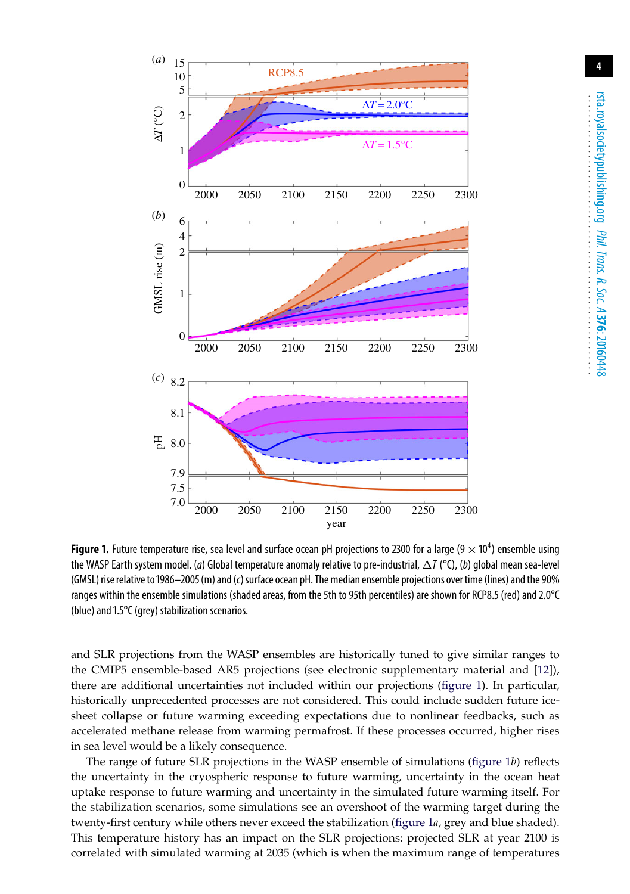

rsta.royalsocietypublishing.org ........................................................ .............................. *Phil. Trans. R. Soc. A* **376**: 20160448

<span id="page-3-0"></span>**Figure 1.** Future temperature rise, sea level and surface ocean pH projections to 2300 for a large  $(9 \times 10^4)$  ensemble using the WASP Earth system model. (*a*) Global temperature anomaly relative to pre-industrial,  $\Delta I$  (°C), (*b*) global mean sea-level (GMSL) rise relative to 1986–2005 (m) and (c) surface ocean pH. The median ensemble projections over time (lines) and the 90% ranges within the ensemble simulations (shaded areas, from the 5th to 95th percentiles) are shown for RCP8.5 (red) and 2.0°C (blue) and 1.5°C (grey) stabilization scenarios.

and SLR projections from the WASP ensembles are historically tuned to give similar ranges to the CMIP5 ensemble-based AR5 projections (see electronic supplementary material and [\[12\]](#page-13-9)), there are additional uncertainties not included within our projections [\(figure 1\)](#page-3-0). In particular, historically unprecedented processes are not considered. This could include sudden future icesheet collapse or future warming exceeding expectations due to nonlinear feedbacks, such as accelerated methane release from warming permafrost. If these processes occurred, higher rises in sea level would be a likely consequence.

The range of future SLR projections in the WASP ensemble of simulations [\(figure 1](#page-3-0)*b*) reflects the uncertainty in the cryospheric response to future warming, uncertainty in the ocean heat uptake response to future warming and uncertainty in the simulated future warming itself. For the stabilization scenarios, some simulations see an overshoot of the warming target during the twenty-first century while others never exceed the stabilization [\(figure 1](#page-3-0)*a*, grey and blue shaded). This temperature history has an impact on the SLR projections: projected SLR at year 2100 is correlated with simulated warming at 2035 (which is when the maximum range of temperatures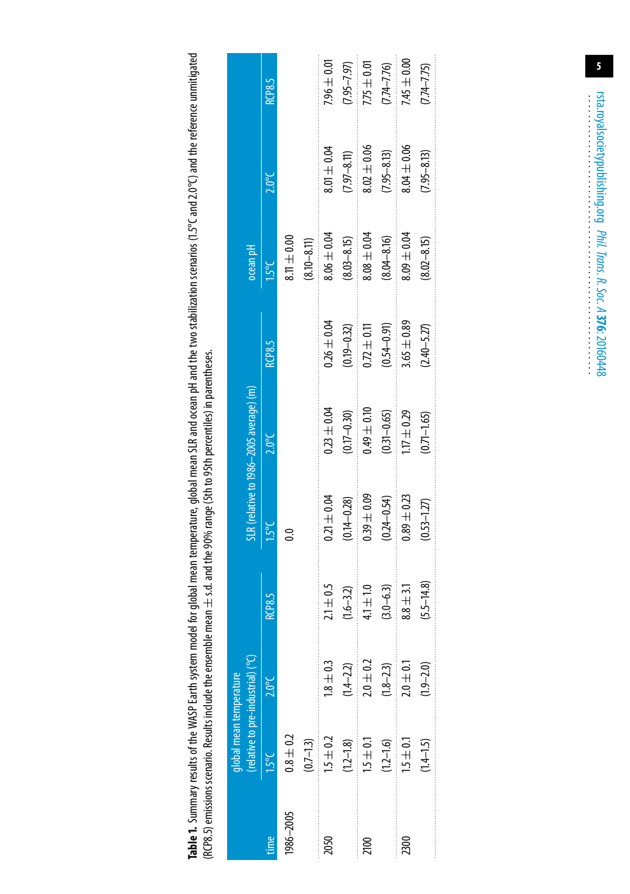Table 1. Summary results of the WASP Earth system model for global mean temperature, global mean SLR and ocean pH and the two stabilization scenarios (1.5°C and 2.0°C) and the reference unmitigated **Table 1.** Summary results of the WASP Earth system model for global mean temperature, global mean SLR and ocean pH and the two stabilization scenarios (1.5°C and 2.0°C) and the reference unmitigated (RCP8.5) emissions scenario. Results include the ensemble mean  $\pm$  s.d. and the 90% range (5th to 95th percentiles) in parentheses. (RCP8.5) emissions scenario. Results include the ensemble mean ± s.d. and the 90% range (5th to 95th percentiles) in parentheses.

<span id="page-4-0"></span>

|           | (relative to pre-industrial) (°C)<br>global mean temperature |                 |                |                 | SLR (relative to 1986-2005 average) (m) |                 | ocean pH        |                 |                                                                                                                                                                                                                                                                                                                                                                                                                                                                                                                                                                  |
|-----------|--------------------------------------------------------------|-----------------|----------------|-----------------|-----------------------------------------|-----------------|-----------------|-----------------|------------------------------------------------------------------------------------------------------------------------------------------------------------------------------------------------------------------------------------------------------------------------------------------------------------------------------------------------------------------------------------------------------------------------------------------------------------------------------------------------------------------------------------------------------------------|
| time      | $1.5^{\circ}$ C                                              | $2.0^{\circ}$ C | <b>RCP8.5</b>  | $1.5^{\circ}$ C | $2.0^{\circ}$ C                         | <b>RCP8.5</b>   | $1.5^{\circ}$ C | $2.0^{\circ}$ C | RCP8.5                                                                                                                                                                                                                                                                                                                                                                                                                                                                                                                                                           |
| 1986-2005 | $0.8 \pm 0.2$                                                |                 |                |                 |                                         |                 | $8.11 \pm 0.00$ |                 |                                                                                                                                                                                                                                                                                                                                                                                                                                                                                                                                                                  |
|           | $(0.7 - 1.3)$                                                |                 |                |                 |                                         |                 | $(8.10 - 8.11)$ |                 |                                                                                                                                                                                                                                                                                                                                                                                                                                                                                                                                                                  |
| 2050      | $1.5 \pm 0.2$                                                | $1.8 \pm 0.3$   | $2.1 \pm 0.5$  | $0.21 \pm 0.04$ | $0.23 \pm 0.04$                         | $0.26 \pm 0.04$ | $8.06 \pm 0.04$ | $8.01 \pm 0.04$ | $7.96 \pm 0.01$                                                                                                                                                                                                                                                                                                                                                                                                                                                                                                                                                  |
|           | $(12 - 1.8)$                                                 | $(1.4 - 2.2)$   | $(1.6 - 3.2)$  | $(0.14 - 0.28)$ | $(0.17 - 0.30)$                         | $(0.19 - 0.32)$ | $(8.03 - 8.15)$ | $7.97 - 8.11$   | $\begin{aligned} \begin{minipage}{0.9\linewidth} \begin{minipage}{0.9\linewidth} \begin{minipage}{0.9\linewidth} \end{minipage} \end{minipage} \begin{minipage}{0.9\linewidth} \begin{minipage}{0.9\linewidth} \begin{minipage}{0.9\linewidth} \end{minipage} \end{minipage} \end{minipage} \begin{minipage}{0.9\linewidth} \begin{minipage}{0.9\linewidth} \begin{minipage}{0.9\linewidth} \end{minipage} \end{minipage} \end{minipage} \begin{minipage}{0.9\linewidth} \begin{minipage}{0.9\linewidth} \begin{minipage}{0.9\linewidth} \end{$<br>$7.95 - 7.97$ |
| 2100      | $15 \pm 0.1$                                                 | $2.0\pm0.2$     | $4.1 \pm 1.0$  | $0.39 \pm 0.09$ | $0.49 \pm 0.10$                         | $0.72 \pm 0.11$ | $8.08 \pm 0.04$ | $8.02 \pm 0.06$ | $7.75 \pm 0.01$                                                                                                                                                                                                                                                                                                                                                                                                                                                                                                                                                  |
|           | $(1.2 - 1.6)$                                                | $(1.8 - 2.3)$   | $(3.0 - 6.3)$  | $(0.24 - 0.54)$ | $(0.31 - 0.65)$                         | $(0.54 - 0.91)$ | $(8.04 - 8.16)$ | $7.95 - 8.13$   | $7.74 - 7.76$                                                                                                                                                                                                                                                                                                                                                                                                                                                                                                                                                    |
| 2300      | $15 + 0.1$                                                   | $2.0 \pm 0.1$   | $8.8 \pm 3.1$  | $0.89 \pm 0.23$ | $1.7 \pm 0.29$                          | $3.65 \pm 0.89$ | $3.09 \pm 0.04$ | $0.04 \pm 0.06$ | $0.045 \pm 0.00$                                                                                                                                                                                                                                                                                                                                                                                                                                                                                                                                                 |
|           | $(1.4 - 1.5)$                                                | $(1.9 - 2.0)$   | $(5.5 - 14.8)$ | $(0.53 - 1.27)$ | $(0.71 - 1.65)$                         | $(2.40 - 5.27)$ | $(8.02 - 8.15)$ | $7.95 - 8.13$   | $7.74 - 7.75$                                                                                                                                                                                                                                                                                                                                                                                                                                                                                                                                                    |

**5**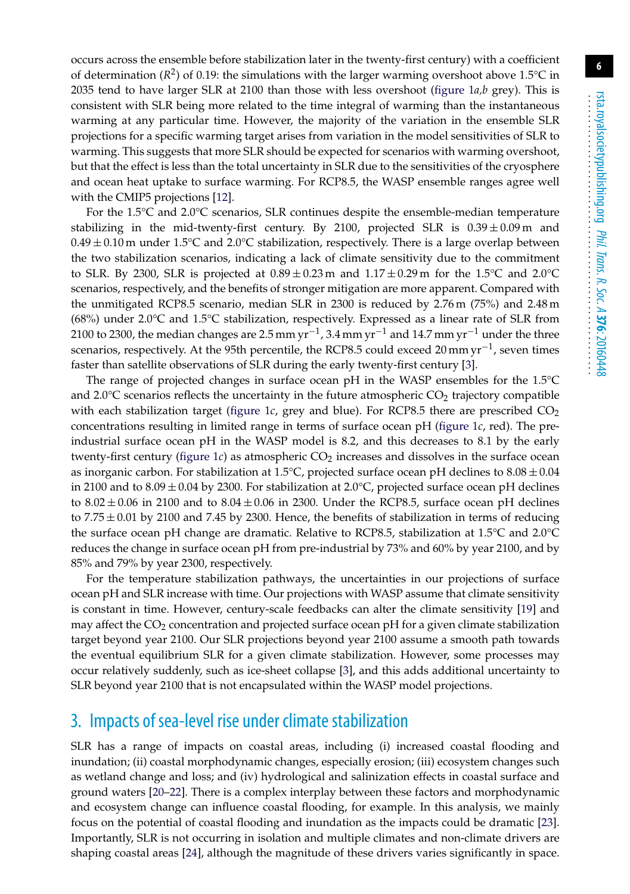occurs across the ensemble before stabilization later in the twenty-first century) with a coefficient of determination ( $R^2$ ) of 0.19: the simulations with the larger warming overshoot above 1.5<sup>o</sup>C in 2035 tend to have larger SLR at 2100 than those with less overshoot [\(figure 1](#page-3-0)*a,b* grey). This is consistent with SLR being more related to the time integral of warming than the instantaneous warming at any particular time. However, the majority of the variation in the ensemble SLR projections for a specific warming target arises from variation in the model sensitivities of SLR to warming. This suggests that more SLR should be expected for scenarios with warming overshoot, but that the effect is less than the total uncertainty in SLR due to the sensitivities of the cryosphere and ocean heat uptake to surface warming. For RCP8.5, the WASP ensemble ranges agree well with the CMIP5 projections [\[12\]](#page-13-9).

For the 1.5°C and 2.0°C scenarios, SLR continues despite the ensemble-median temperature stabilizing in the mid-twenty-first century. By 2100, projected SLR is  $0.39 \pm 0.09$  m and  $0.49 \pm 0.10$  m under  $1.5^{\circ}$ C and  $2.0^{\circ}$ C stabilization, respectively. There is a large overlap between the two stabilization scenarios, indicating a lack of climate sensitivity due to the commitment to SLR. By 2300, SLR is projected at  $0.89 \pm 0.23$  m and  $1.17 \pm 0.29$  m for the  $1.5^{\circ}$ C and  $2.0^{\circ}$ C scenarios, respectively, and the benefits of stronger mitigation are more apparent. Compared with the unmitigated RCP8.5 scenario, median SLR in 2300 is reduced by 2.76 m (75%) and 2.48 m (68%) under 2.0°C and 1.5°C stabilization, respectively. Expressed as a linear rate of SLR from 2100 to 2300, the median changes are 2.5 mm yr<sup>-1</sup>, 3.4 mm yr<sup>-1</sup> and 14.7 mm yr<sup>-1</sup> under the three scenarios, respectively. At the 95th percentile, the RCP8.5 could exceed 20 mm  $yr^{-1}$ , seven times faster than satellite observations of SLR during the early twenty-first century [\[3\]](#page-13-2).

The range of projected changes in surface ocean pH in the WASP ensembles for the 1.5°C and 2.0 $\degree$ C scenarios reflects the uncertainty in the future atmospheric CO<sub>2</sub> trajectory compatible with each stabilization target (figure  $1c$ , grey and blue). For RCP8.5 there are prescribed  $CO<sub>2</sub>$ concentrations resulting in limited range in terms of surface ocean pH [\(figure 1](#page-3-0)*c*, red). The preindustrial surface ocean pH in the WASP model is 8.2, and this decreases to 8.1 by the early twenty-first century [\(figure 1](#page-3-0)*c*) as atmospheric  $CO<sub>2</sub>$  increases and dissolves in the surface ocean as inorganic carbon. For stabilization at 1.5 $\degree$ C, projected surface ocean pH declines to 8.08  $\pm$  0.04 in 2100 and to  $8.09 \pm 0.04$  by 2300. For stabilization at 2.0°C, projected surface ocean pH declines to  $8.02 \pm 0.06$  in 2100 and to  $8.04 \pm 0.06$  in 2300. Under the RCP8.5, surface ocean pH declines to  $7.75 \pm 0.01$  by 2100 and 7.45 by 2300. Hence, the benefits of stabilization in terms of reducing the surface ocean pH change are dramatic. Relative to RCP8.5, stabilization at 1.5°C and 2.0°C reduces the change in surface ocean pH from pre-industrial by 73% and 60% by year 2100, and by 85% and 79% by year 2300, respectively.

For the temperature stabilization pathways, the uncertainties in our projections of surface ocean pH and SLR increase with time. Our projections with WASP assume that climate sensitivity is constant in time. However, century-scale feedbacks can alter the climate sensitivity [\[19\]](#page-14-6) and may affect the  $CO<sub>2</sub>$  concentration and projected surface ocean pH for a given climate stabilization target beyond year 2100. Our SLR projections beyond year 2100 assume a smooth path towards the eventual equilibrium SLR for a given climate stabilization. However, some processes may occur relatively suddenly, such as ice-sheet collapse [\[3\]](#page-13-2), and this adds additional uncertainty to SLR beyond year 2100 that is not encapsulated within the WASP model projections.

#### 3. Impacts of sea-level rise under climate stabilization

SLR has a range of impacts on coastal areas, including (i) increased coastal flooding and inundation; (ii) coastal morphodynamic changes, especially erosion; (iii) ecosystem changes such as wetland change and loss; and (iv) hydrological and salinization effects in coastal surface and ground waters [\[20](#page-14-7)[–22\]](#page-14-8). There is a complex interplay between these factors and morphodynamic and ecosystem change can influence coastal flooding, for example. In this analysis, we mainly focus on the potential of coastal flooding and inundation as the impacts could be dramatic [\[23\]](#page-14-9). Importantly, SLR is not occurring in isolation and multiple climates and non-climate drivers are shaping coastal areas [\[24\]](#page-14-10), although the magnitude of these drivers varies significantly in space.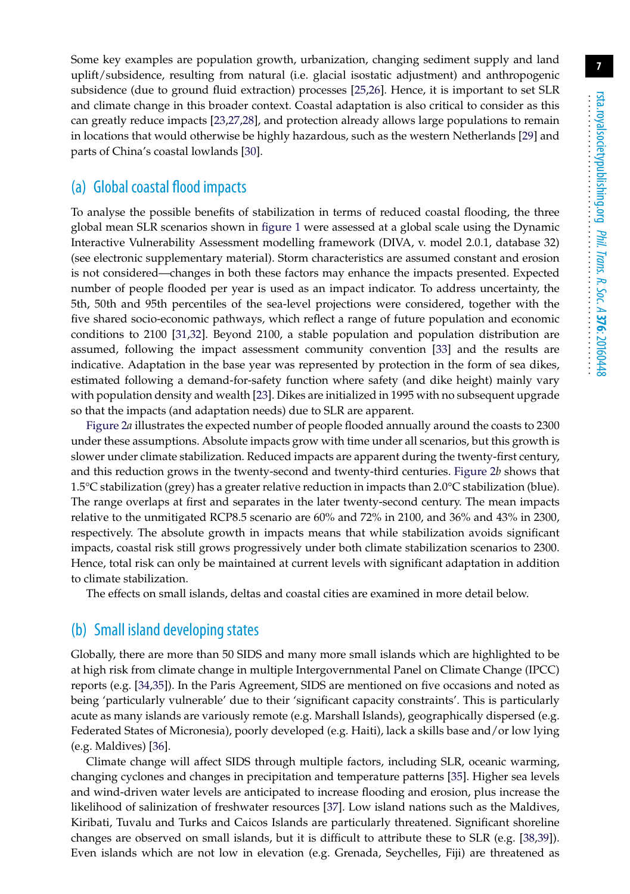Some key examples are population growth, urbanization, changing sediment supply and land uplift/subsidence, resulting from natural (i.e. glacial isostatic adjustment) and anthropogenic subsidence (due to ground fluid extraction) processes [\[25,](#page-14-11)[26\]](#page-14-12). Hence, it is important to set SLR and climate change in this broader context. Coastal adaptation is also critical to consider as this can greatly reduce impacts [\[23,](#page-14-9)[27,](#page-14-13)[28\]](#page-14-14), and protection already allows large populations to remain in locations that would otherwise be highly hazardous, such as the western Netherlands [\[29\]](#page-14-15) and parts of China's coastal lowlands [\[30\]](#page-14-16).

#### (a) Global coastal flood impacts

To analyse the possible benefits of stabilization in terms of reduced coastal flooding, the three global mean SLR scenarios shown in [figure 1](#page-3-0) were assessed at a global scale using the Dynamic Interactive Vulnerability Assessment modelling framework (DIVA, v. model 2.0.1, database 32) (see electronic supplementary material). Storm characteristics are assumed constant and erosion is not considered—changes in both these factors may enhance the impacts presented. Expected number of people flooded per year is used as an impact indicator. To address uncertainty, the 5th, 50th and 95th percentiles of the sea-level projections were considered, together with the five shared socio-economic pathways, which reflect a range of future population and economic conditions to 2100 [\[31,](#page-14-17)[32\]](#page-14-18). Beyond 2100, a stable population and population distribution are assumed, following the impact assessment community convention [\[33\]](#page-14-19) and the results are indicative. Adaptation in the base year was represented by protection in the form of sea dikes, estimated following a demand-for-safety function where safety (and dike height) mainly vary with population density and wealth [\[23\]](#page-14-9). Dikes are initialized in 1995 with no subsequent upgrade so that the impacts (and adaptation needs) due to SLR are apparent.

[Figure 2](#page-7-0)*a* illustrates the expected number of people flooded annually around the coasts to 2300 under these assumptions. Absolute impacts grow with time under all scenarios, but this growth is slower under climate stabilization. Reduced impacts are apparent during the twenty-first century, and this reduction grows in the twenty-second and twenty-third centuries. [Figure 2](#page-7-0)*b* shows that 1.5°C stabilization (grey) has a greater relative reduction in impacts than 2.0°C stabilization (blue). The range overlaps at first and separates in the later twenty-second century. The mean impacts relative to the unmitigated RCP8.5 scenario are 60% and 72% in 2100, and 36% and 43% in 2300, respectively. The absolute growth in impacts means that while stabilization avoids significant impacts, coastal risk still grows progressively under both climate stabilization scenarios to 2300. Hence, total risk can only be maintained at current levels with significant adaptation in addition to climate stabilization.

The effects on small islands, deltas and coastal cities are examined in more detail below.

#### (b) Small island developing states

Globally, there are more than 50 SIDS and many more small islands which are highlighted to be at high risk from climate change in multiple Intergovernmental Panel on Climate Change (IPCC) reports (e.g. [\[34,](#page-14-20)[35\]](#page-14-21)). In the Paris Agreement, SIDS are mentioned on five occasions and noted as being 'particularly vulnerable' due to their 'significant capacity constraints'. This is particularly acute as many islands are variously remote (e.g. Marshall Islands), geographically dispersed (e.g. Federated States of Micronesia), poorly developed (e.g. Haiti), lack a skills base and/or low lying (e.g. Maldives) [\[36\]](#page-15-0).

Climate change will affect SIDS through multiple factors, including SLR, oceanic warming, changing cyclones and changes in precipitation and temperature patterns [\[35\]](#page-14-21). Higher sea levels and wind-driven water levels are anticipated to increase flooding and erosion, plus increase the likelihood of salinization of freshwater resources [\[37\]](#page-15-1). Low island nations such as the Maldives, Kiribati, Tuvalu and Turks and Caicos Islands are particularly threatened. Significant shoreline changes are observed on small islands, but it is difficult to attribute these to SLR (e.g. [\[38,](#page-15-2)[39\]](#page-15-3)). Even islands which are not low in elevation (e.g. Grenada, Seychelles, Fiji) are threatened as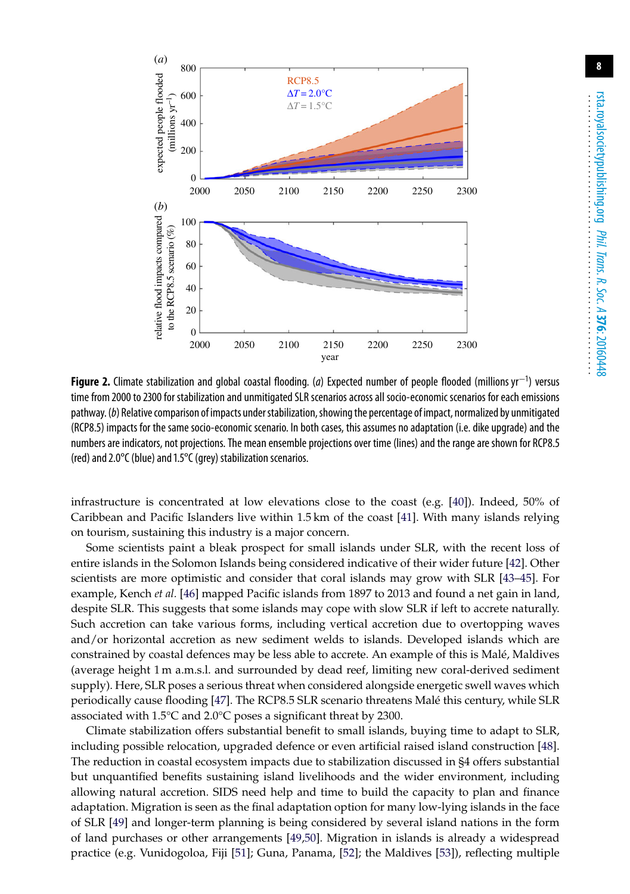

<span id="page-7-0"></span>**Figure 2.** Climate stabilization and global coastal flooding. (*a*) Expected number of people flooded (millions yr−<sup>1</sup> ) versus time from 2000 to 2300 for stabilization and unmitigated SLR scenarios across all socio-economic scenarios for each emissions pathway. (b) Relative comparison of impacts under stabilization, showing the percentage of impact, normalized by unmitigated (RCP8.5) impacts for the same socio-economic scenario. In both cases, this assumes no adaptation (i.e. dike upgrade) and the numbers are indicators, not projections. The mean ensemble projections over time (lines) and the range are shown for RCP8.5 (red) and 2.0°C (blue) and 1.5°C (grey) stabilization scenarios.

infrastructure is concentrated at low elevations close to the coast (e.g. [\[40\]](#page-15-4)). Indeed, 50% of Caribbean and Pacific Islanders live within 1.5 km of the coast [\[41\]](#page-15-5). With many islands relying on tourism, sustaining this industry is a major concern.

Some scientists paint a bleak prospect for small islands under SLR, with the recent loss of entire islands in the Solomon Islands being considered indicative of their wider future [\[42\]](#page-15-6). Other scientists are more optimistic and consider that coral islands may grow with SLR [\[43](#page-15-7)[–45\]](#page-15-8). For example, Kench *et al.* [\[46\]](#page-15-9) mapped Pacific islands from 1897 to 2013 and found a net gain in land, despite SLR. This suggests that some islands may cope with slow SLR if left to accrete naturally. Such accretion can take various forms, including vertical accretion due to overtopping waves and/or horizontal accretion as new sediment welds to islands. Developed islands which are constrained by coastal defences may be less able to accrete. An example of this is Malé, Maldives (average height 1 m a.m.s.l. and surrounded by dead reef, limiting new coral-derived sediment supply). Here, SLR poses a serious threat when considered alongside energetic swell waves which periodically cause flooding [\[47\]](#page-15-10). The RCP8.5 SLR scenario threatens Malé this century, while SLR associated with 1.5°C and 2.0°C poses a significant threat by 2300.

Climate stabilization offers substantial benefit to small islands, buying time to adapt to SLR, including possible relocation, upgraded defence or even artificial raised island construction [\[48\]](#page-15-11). The reduction in coastal ecosystem impacts due to stabilization discussed in §4 offers substantial but unquantified benefits sustaining island livelihoods and the wider environment, including allowing natural accretion. SIDS need help and time to build the capacity to plan and finance adaptation. Migration is seen as the final adaptation option for many low-lying islands in the face of SLR [\[49\]](#page-15-12) and longer-term planning is being considered by several island nations in the form of land purchases or other arrangements [\[49,](#page-15-12)[50\]](#page-15-13). Migration in islands is already a widespread practice (e.g. Vunidogoloa, Fiji [\[51\]](#page-15-14); Guna, Panama, [\[52\]](#page-15-15); the Maldives [\[53\]](#page-15-16)), reflecting multiple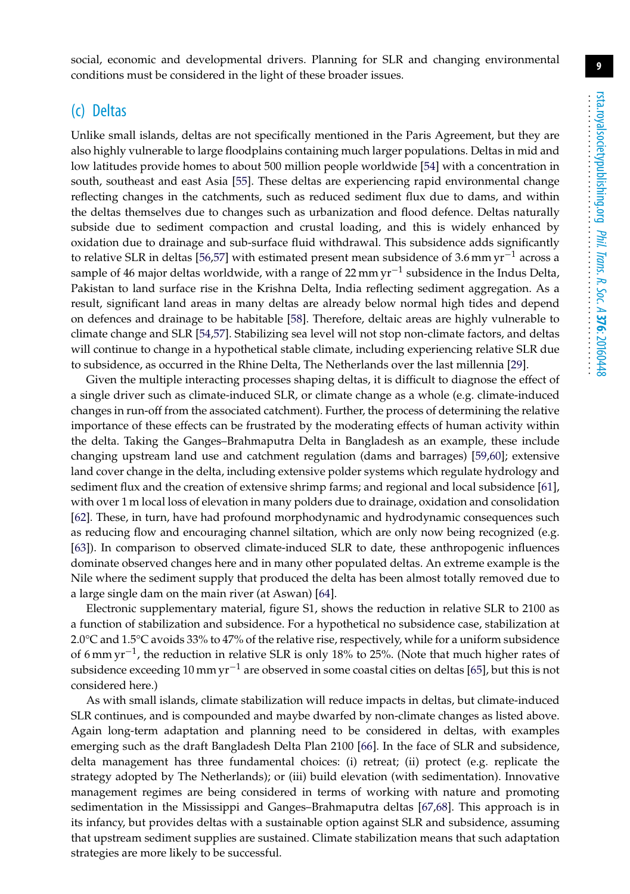social, economic and developmental drivers. Planning for SLR and changing environmental conditions must be considered in the light of these broader issues.

#### (c) Deltas

Unlike small islands, deltas are not specifically mentioned in the Paris Agreement, but they are also highly vulnerable to large floodplains containing much larger populations. Deltas in mid and low latitudes provide homes to about 500 million people worldwide [\[54\]](#page-15-17) with a concentration in south, southeast and east Asia [\[55\]](#page-15-18). These deltas are experiencing rapid environmental change reflecting changes in the catchments, such as reduced sediment flux due to dams, and within the deltas themselves due to changes such as urbanization and flood defence. Deltas naturally subside due to sediment compaction and crustal loading, and this is widely enhanced by oxidation due to drainage and sub-surface fluid withdrawal. This subsidence adds significantly to relative SLR in deltas [\[56](#page-15-19)[,57\]](#page-15-20) with estimated present mean subsidence of 3.6 mm  $yr^{-1}$  across a sample of 46 major deltas worldwide, with a range of 22 mm  $yr^{-1}$  subsidence in the Indus Delta, Pakistan to land surface rise in the Krishna Delta, India reflecting sediment aggregation. As a result, significant land areas in many deltas are already below normal high tides and depend on defences and drainage to be habitable [\[58\]](#page-16-0). Therefore, deltaic areas are highly vulnerable to climate change and SLR [\[54](#page-15-17)[,57\]](#page-15-20). Stabilizing sea level will not stop non-climate factors, and deltas will continue to change in a hypothetical stable climate, including experiencing relative SLR due to subsidence, as occurred in the Rhine Delta, The Netherlands over the last millennia [\[29\]](#page-14-15).

Given the multiple interacting processes shaping deltas, it is difficult to diagnose the effect of a single driver such as climate-induced SLR, or climate change as a whole (e.g. climate-induced changes in run-off from the associated catchment). Further, the process of determining the relative importance of these effects can be frustrated by the moderating effects of human activity within the delta. Taking the Ganges–Brahmaputra Delta in Bangladesh as an example, these include changing upstream land use and catchment regulation (dams and barrages) [\[59](#page-16-1)[,60\]](#page-16-2); extensive land cover change in the delta, including extensive polder systems which regulate hydrology and sediment flux and the creation of extensive shrimp farms; and regional and local subsidence [\[61\]](#page-16-3), with over 1 m local loss of elevation in many polders due to drainage, oxidation and consolidation [\[62\]](#page-16-4). These, in turn, have had profound morphodynamic and hydrodynamic consequences such as reducing flow and encouraging channel siltation, which are only now being recognized (e.g. [\[63\]](#page-16-5)). In comparison to observed climate-induced SLR to date, these anthropogenic influences dominate observed changes here and in many other populated deltas. An extreme example is the Nile where the sediment supply that produced the delta has been almost totally removed due to a large single dam on the main river (at Aswan) [\[64\]](#page-16-6).

Electronic supplementary material, figure S1, shows the reduction in relative SLR to 2100 as a function of stabilization and subsidence. For a hypothetical no subsidence case, stabilization at 2.0 $\degree$ C and 1.5 $\degree$ C avoids 33% to 47% of the relative rise, respectively, while for a uniform subsidence of 6 mm yr<sup>-1</sup>, the reduction in relative SLR is only 18% to 25%. (Note that much higher rates of subsidence exceeding 10 mm yr<sup>-1</sup> are observed in some coastal cities on deltas [\[65\]](#page-16-7), but this is not considered here.)

As with small islands, climate stabilization will reduce impacts in deltas, but climate-induced SLR continues, and is compounded and maybe dwarfed by non-climate changes as listed above. Again long-term adaptation and planning need to be considered in deltas, with examples emerging such as the draft Bangladesh Delta Plan 2100 [\[66\]](#page-16-8). In the face of SLR and subsidence, delta management has three fundamental choices: (i) retreat; (ii) protect (e.g. replicate the strategy adopted by The Netherlands); or (iii) build elevation (with sedimentation). Innovative management regimes are being considered in terms of working with nature and promoting sedimentation in the Mississippi and Ganges–Brahmaputra deltas [\[67,](#page-16-9)[68\]](#page-16-10). This approach is in its infancy, but provides deltas with a sustainable option against SLR and subsidence, assuming that upstream sediment supplies are sustained. Climate stabilization means that such adaptation strategies are more likely to be successful.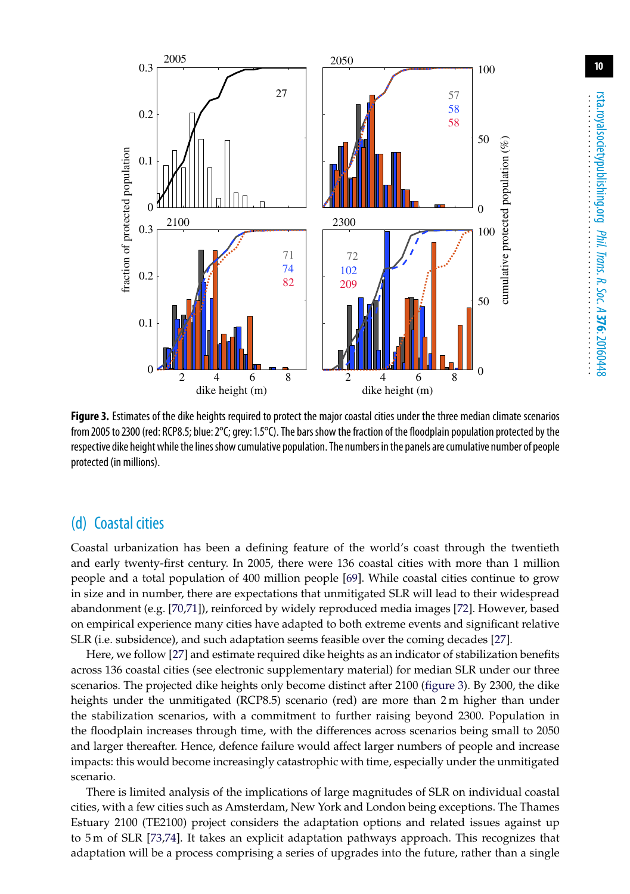

<span id="page-9-0"></span>**Figure 3.** Estimates of the dike heights required to protect the major coastal cities under the three median climate scenarios from 2005 to 2300 (red: RCP8.5; blue: 2°C; grey: 1.5°C). The bars show the fraction of the floodplain population protected by the respective dike height while the linesshow cumulative population. The numbers in the panels are cumulative number of people protected (in millions).

#### (d) Coastal cities

Coastal urbanization has been a defining feature of the world's coast through the twentieth and early twenty-first century. In 2005, there were 136 coastal cities with more than 1 million people and a total population of 400 million people [\[69\]](#page-16-11). While coastal cities continue to grow in size and in number, there are expectations that unmitigated SLR will lead to their widespread abandonment (e.g. [\[70,](#page-16-12)[71\]](#page-16-13)), reinforced by widely reproduced media images [\[72\]](#page-16-14). However, based on empirical experience many cities have adapted to both extreme events and significant relative SLR (i.e. subsidence), and such adaptation seems feasible over the coming decades [\[27\]](#page-14-13).

Here, we follow [\[27\]](#page-14-13) and estimate required dike heights as an indicator of stabilization benefits across 136 coastal cities (see electronic supplementary material) for median SLR under our three scenarios. The projected dike heights only become distinct after 2100 [\(figure 3\)](#page-9-0). By 2300, the dike heights under the unmitigated (RCP8.5) scenario (red) are more than 2 m higher than under the stabilization scenarios, with a commitment to further raising beyond 2300. Population in the floodplain increases through time, with the differences across scenarios being small to 2050 and larger thereafter. Hence, defence failure would affect larger numbers of people and increase impacts: this would become increasingly catastrophic with time, especially under the unmitigated scenario.

There is limited analysis of the implications of large magnitudes of SLR on individual coastal cities, with a few cities such as Amsterdam, New York and London being exceptions. The Thames Estuary 2100 (TE2100) project considers the adaptation options and related issues against up to 5 m of SLR [\[73,](#page-16-15)[74\]](#page-16-16). It takes an explicit adaptation pathways approach. This recognizes that adaptation will be a process comprising a series of upgrades into the future, rather than a single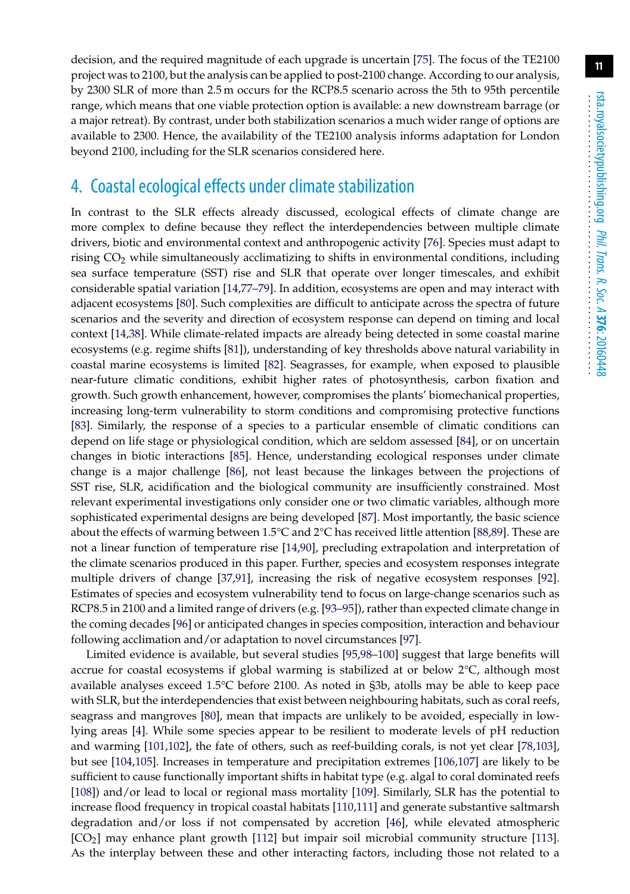decision, and the required magnitude of each upgrade is uncertain [\[75\]](#page-16-17). The focus of the TE2100 project was to 2100, but the analysis can be applied to post-2100 change. According to our analysis, by 2300 SLR of more than 2.5 m occurs for the RCP8.5 scenario across the 5th to 95th percentile range, which means that one viable protection option is available: a new downstream barrage (or a major retreat). By contrast, under both stabilization scenarios a much wider range of options are available to 2300. Hence, the availability of the TE2100 analysis informs adaptation for London beyond 2100, including for the SLR scenarios considered here.

#### 4. Coastal ecological effects under climate stabilization

In contrast to the SLR effects already discussed, ecological effects of climate change are more complex to define because they reflect the interdependencies between multiple climate drivers, biotic and environmental context and anthropogenic activity [\[76\]](#page-16-18). Species must adapt to rising  $CO<sub>2</sub>$  while simultaneously acclimatizing to shifts in environmental conditions, including sea surface temperature (SST) rise and SLR that operate over longer timescales, and exhibit considerable spatial variation [\[14,](#page-14-1)[77–](#page-16-19)[79\]](#page-17-0). In addition, ecosystems are open and may interact with adjacent ecosystems [\[80\]](#page-17-1). Such complexities are difficult to anticipate across the spectra of future scenarios and the severity and direction of ecosystem response can depend on timing and local context [\[14,](#page-14-1)[38\]](#page-15-2). While climate-related impacts are already being detected in some coastal marine ecosystems (e.g. regime shifts [\[81\]](#page-17-2)), understanding of key thresholds above natural variability in coastal marine ecosystems is limited [\[82\]](#page-17-3). Seagrasses, for example, when exposed to plausible near-future climatic conditions, exhibit higher rates of photosynthesis, carbon fixation and growth. Such growth enhancement, however, compromises the plants' biomechanical properties, increasing long-term vulnerability to storm conditions and compromising protective functions [\[83\]](#page-17-4). Similarly, the response of a species to a particular ensemble of climatic conditions can depend on life stage or physiological condition, which are seldom assessed [\[84\]](#page-17-5), or on uncertain changes in biotic interactions [\[85\]](#page-17-6). Hence, understanding ecological responses under climate change is a major challenge [\[86\]](#page-17-7), not least because the linkages between the projections of SST rise, SLR, acidification and the biological community are insufficiently constrained. Most relevant experimental investigations only consider one or two climatic variables, although more sophisticated experimental designs are being developed [\[87\]](#page-17-8). Most importantly, the basic science about the effects of warming between 1.5°C and 2°C has received little attention [\[88,](#page-17-9)[89\]](#page-17-10). These are not a linear function of temperature rise [\[14,](#page-14-1)[90\]](#page-17-11), precluding extrapolation and interpretation of the climate scenarios produced in this paper. Further, species and ecosystem responses integrate multiple drivers of change [\[37](#page-15-1)[,91\]](#page-17-12), increasing the risk of negative ecosystem responses [\[92\]](#page-17-13). Estimates of species and ecosystem vulnerability tend to focus on large-change scenarios such as RCP8.5 in 2100 and a limited range of drivers (e.g. [\[93](#page-17-14)[–95\]](#page-17-15)), rather than expected climate change in the coming decades [\[96\]](#page-17-16) or anticipated changes in species composition, interaction and behaviour following acclimation and/or adaptation to novel circumstances [\[97\]](#page-17-17).

Limited evidence is available, but several studies [\[95](#page-17-15)[,98–](#page-17-18)[100\]](#page-17-19) suggest that large benefits will accrue for coastal ecosystems if global warming is stabilized at or below 2°C, although most available analyses exceed 1.5°C before 2100. As noted in §3b, atolls may be able to keep pace with SLR, but the interdependencies that exist between neighbouring habitats, such as coral reefs, seagrass and mangroves [\[80\]](#page-17-1), mean that impacts are unlikely to be avoided, especially in lowlying areas [\[4\]](#page-13-10). While some species appear to be resilient to moderate levels of pH reduction and warming [\[101,](#page-17-20)[102\]](#page-18-0), the fate of others, such as reef-building corals, is not yet clear [\[78,](#page-16-20)[103\]](#page-18-1), but see [\[104,](#page-18-2)[105\]](#page-18-3). Increases in temperature and precipitation extremes [\[106,](#page-18-4)[107\]](#page-18-5) are likely to be sufficient to cause functionally important shifts in habitat type (e.g. algal to coral dominated reefs [\[108\]](#page-18-6)) and/or lead to local or regional mass mortality [\[109\]](#page-18-7). Similarly, SLR has the potential to increase flood frequency in tropical coastal habitats [\[110](#page-18-8)[,111\]](#page-18-9) and generate substantive saltmarsh degradation and/or loss if not compensated by accretion [\[46\]](#page-15-9), while elevated atmospheric  $[CO<sub>2</sub>]$  may enhance plant growth  $[112]$  but impair soil microbial community structure  $[113]$ . As the interplay between these and other interacting factors, including those not related to a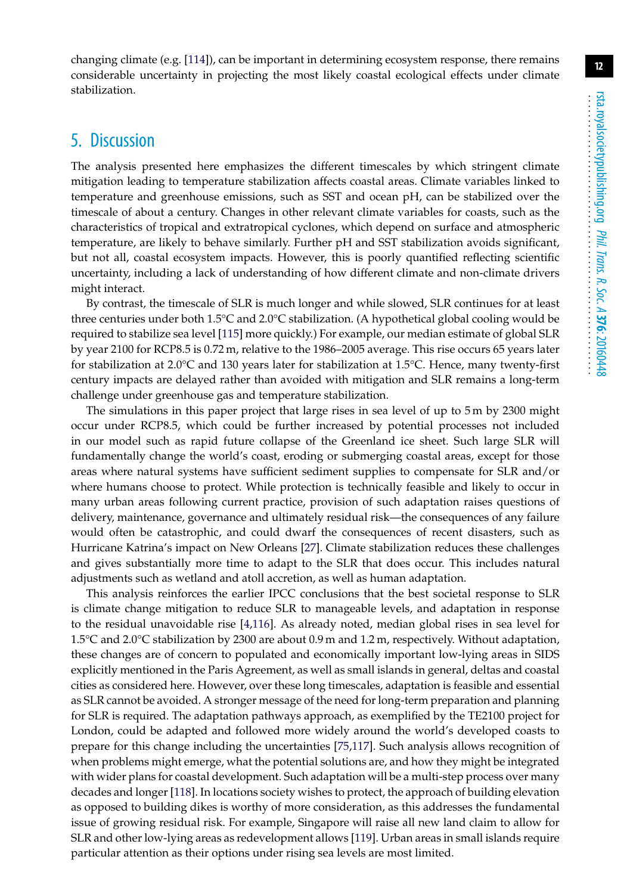changing climate (e.g. [\[114\]](#page-18-12)), can be important in determining ecosystem response, there remains considerable uncertainty in projecting the most likely coastal ecological effects under climate stabilization.

# 5. Discussion

The analysis presented here emphasizes the different timescales by which stringent climate mitigation leading to temperature stabilization affects coastal areas. Climate variables linked to temperature and greenhouse emissions, such as SST and ocean pH, can be stabilized over the timescale of about a century. Changes in other relevant climate variables for coasts, such as the characteristics of tropical and extratropical cyclones, which depend on surface and atmospheric temperature, are likely to behave similarly. Further pH and SST stabilization avoids significant, but not all, coastal ecosystem impacts. However, this is poorly quantified reflecting scientific uncertainty, including a lack of understanding of how different climate and non-climate drivers might interact.

By contrast, the timescale of SLR is much longer and while slowed, SLR continues for at least three centuries under both 1.5°C and 2.0°C stabilization. (A hypothetical global cooling would be required to stabilize sea level [\[115\]](#page-18-13) more quickly.) For example, our median estimate of global SLR by year 2100 for RCP8.5 is 0.72 m, relative to the 1986–2005 average. This rise occurs 65 years later for stabilization at 2.0°C and 130 years later for stabilization at 1.5°C. Hence, many twenty-first century impacts are delayed rather than avoided with mitigation and SLR remains a long-term challenge under greenhouse gas and temperature stabilization.

The simulations in this paper project that large rises in sea level of up to 5 m by 2300 might occur under RCP8.5, which could be further increased by potential processes not included in our model such as rapid future collapse of the Greenland ice sheet. Such large SLR will fundamentally change the world's coast, eroding or submerging coastal areas, except for those areas where natural systems have sufficient sediment supplies to compensate for SLR and/or where humans choose to protect. While protection is technically feasible and likely to occur in many urban areas following current practice, provision of such adaptation raises questions of delivery, maintenance, governance and ultimately residual risk—the consequences of any failure would often be catastrophic, and could dwarf the consequences of recent disasters, such as Hurricane Katrina's impact on New Orleans [\[27\]](#page-14-13). Climate stabilization reduces these challenges and gives substantially more time to adapt to the SLR that does occur. This includes natural adjustments such as wetland and atoll accretion, as well as human adaptation.

This analysis reinforces the earlier IPCC conclusions that the best societal response to SLR is climate change mitigation to reduce SLR to manageable levels, and adaptation in response to the residual unavoidable rise [\[4,](#page-13-10)[116\]](#page-18-14). As already noted, median global rises in sea level for 1.5°C and 2.0°C stabilization by 2300 are about 0.9 m and 1.2 m, respectively. Without adaptation, these changes are of concern to populated and economically important low-lying areas in SIDS explicitly mentioned in the Paris Agreement, as well as small islands in general, deltas and coastal cities as considered here. However, over these long timescales, adaptation is feasible and essential as SLR cannot be avoided. A stronger message of the need for long-term preparation and planning for SLR is required. The adaptation pathways approach, as exemplified by the TE2100 project for London, could be adapted and followed more widely around the world's developed coasts to prepare for this change including the uncertainties [\[75](#page-16-17)[,117\]](#page-18-15). Such analysis allows recognition of when problems might emerge, what the potential solutions are, and how they might be integrated with wider plans for coastal development. Such adaptation will be a multi-step process over many decades and longer [\[118\]](#page-18-16). In locations society wishes to protect, the approach of building elevation as opposed to building dikes is worthy of more consideration, as this addresses the fundamental issue of growing residual risk. For example, Singapore will raise all new land claim to allow for SLR and other low-lying areas as redevelopment allows [\[119\]](#page-18-17). Urban areas in small islands require particular attention as their options under rising sea levels are most limited.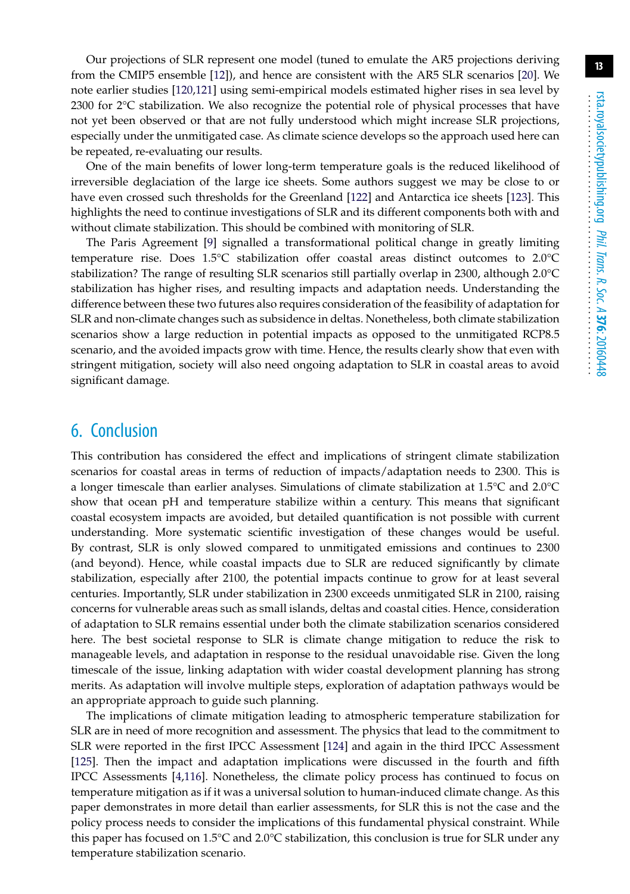Our projections of SLR represent one model (tuned to emulate the AR5 projections deriving from the CMIP5 ensemble [\[12\]](#page-13-9)), and hence are consistent with the AR5 SLR scenarios [\[20\]](#page-14-7). We note earlier studies [\[120](#page-19-0)[,121\]](#page-19-1) using semi-empirical models estimated higher rises in sea level by 2300 for 2°C stabilization. We also recognize the potential role of physical processes that have not yet been observed or that are not fully understood which might increase SLR projections, especially under the unmitigated case. As climate science develops so the approach used here can be repeated, re-evaluating our results.

One of the main benefits of lower long-term temperature goals is the reduced likelihood of irreversible deglaciation of the large ice sheets. Some authors suggest we may be close to or have even crossed such thresholds for the Greenland [\[122\]](#page-19-2) and Antarctica ice sheets [\[123\]](#page-19-3). This highlights the need to continue investigations of SLR and its different components both with and without climate stabilization. This should be combined with monitoring of SLR.

The Paris Agreement [\[9\]](#page-13-6) signalled a transformational political change in greatly limiting temperature rise. Does 1.5°C stabilization offer coastal areas distinct outcomes to 2.0°C stabilization? The range of resulting SLR scenarios still partially overlap in 2300, although 2.0°C stabilization has higher rises, and resulting impacts and adaptation needs. Understanding the difference between these two futures also requires consideration of the feasibility of adaptation for SLR and non-climate changes such as subsidence in deltas. Nonetheless, both climate stabilization scenarios show a large reduction in potential impacts as opposed to the unmitigated RCP8.5 scenario, and the avoided impacts grow with time. Hence, the results clearly show that even with stringent mitigation, society will also need ongoing adaptation to SLR in coastal areas to avoid significant damage.

#### 6. Conclusion

This contribution has considered the effect and implications of stringent climate stabilization scenarios for coastal areas in terms of reduction of impacts/adaptation needs to 2300. This is a longer timescale than earlier analyses. Simulations of climate stabilization at 1.5°C and 2.0°C show that ocean pH and temperature stabilize within a century. This means that significant coastal ecosystem impacts are avoided, but detailed quantification is not possible with current understanding. More systematic scientific investigation of these changes would be useful. By contrast, SLR is only slowed compared to unmitigated emissions and continues to 2300 (and beyond). Hence, while coastal impacts due to SLR are reduced significantly by climate stabilization, especially after 2100, the potential impacts continue to grow for at least several centuries. Importantly, SLR under stabilization in 2300 exceeds unmitigated SLR in 2100, raising concerns for vulnerable areas such as small islands, deltas and coastal cities. Hence, consideration of adaptation to SLR remains essential under both the climate stabilization scenarios considered here. The best societal response to SLR is climate change mitigation to reduce the risk to manageable levels, and adaptation in response to the residual unavoidable rise. Given the long timescale of the issue, linking adaptation with wider coastal development planning has strong merits. As adaptation will involve multiple steps, exploration of adaptation pathways would be an appropriate approach to guide such planning.

The implications of climate mitigation leading to atmospheric temperature stabilization for SLR are in need of more recognition and assessment. The physics that lead to the commitment to SLR were reported in the first IPCC Assessment [\[124\]](#page-19-4) and again in the third IPCC Assessment [\[125\]](#page-19-5). Then the impact and adaptation implications were discussed in the fourth and fifth IPCC Assessments [\[4](#page-13-10)[,116\]](#page-18-14). Nonetheless, the climate policy process has continued to focus on temperature mitigation as if it was a universal solution to human-induced climate change. As this paper demonstrates in more detail than earlier assessments, for SLR this is not the case and the policy process needs to consider the implications of this fundamental physical constraint. While this paper has focused on 1.5°C and 2.0°C stabilization, this conclusion is true for SLR under any temperature stabilization scenario.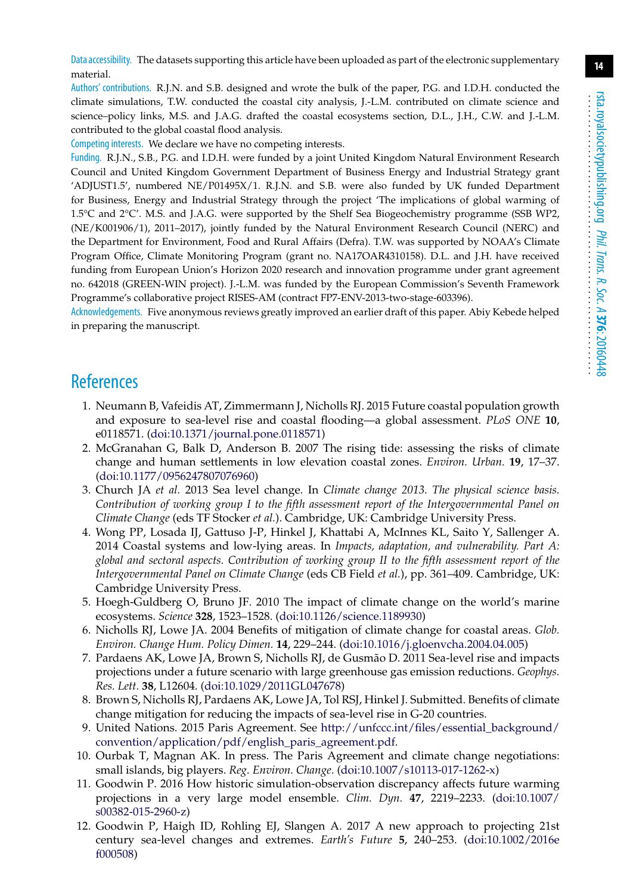Data accessibility. The datasets supporting this article have been uploaded as part of the electronic supplementary material.

Authors' contributions. R.J.N. and S.B. designed and wrote the bulk of the paper, P.G. and I.D.H. conducted the climate simulations, T.W. conducted the coastal city analysis, J.-L.M. contributed on climate science and science–policy links, M.S. and J.A.G. drafted the coastal ecosystems section, D.L., J.H., C.W. and J.-L.M. contributed to the global coastal flood analysis.

Competing interests. We declare we have no competing interests.

Funding. R.J.N., S.B., P.G. and I.D.H. were funded by a joint United Kingdom Natural Environment Research Council and United Kingdom Government Department of Business Energy and Industrial Strategy grant 'ADJUST1.5', numbered NE/P01495X/1. R.J.N. and S.B. were also funded by UK funded Department for Business, Energy and Industrial Strategy through the project 'The implications of global warming of 1.5°C and 2°C'. M.S. and J.A.G. were supported by the Shelf Sea Biogeochemistry programme (SSB WP2, (NE/K001906/1), 2011–2017), jointly funded by the Natural Environment Research Council (NERC) and the Department for Environment, Food and Rural Affairs (Defra). T.W. was supported by NOAA's Climate Program Office, Climate Monitoring Program (grant no. NA17OAR4310158). D.L. and J.H. have received funding from European Union's Horizon 2020 research and innovation programme under grant agreement no. 642018 (GREEN-WIN project). J.-L.M. was funded by the European Commission's Seventh Framework Programme's collaborative project RISES-AM (contract FP7-ENV-2013-two-stage-603396).

Acknowledgements. Five anonymous reviews greatly improved an earlier draft of this paper. Abiy Kebede helped in preparing the manuscript.

### <span id="page-13-0"></span>**References**

- 1. Neumann B, Vafeidis AT, Zimmermann J, Nicholls RJ. 2015 Future coastal population growth and exposure to sea-level rise and coastal flooding—a global assessment. *PLoS ONE* **10**, e0118571. [\(doi:10.1371/journal.pone.0118571\)](http://dx.doi.org/10.1371/journal.pone.0118571)
- <span id="page-13-1"></span>2. McGranahan G, Balk D, Anderson B. 2007 The rising tide: assessing the risks of climate change and human settlements in low elevation coastal zones. *Environ. Urban.* **19**, 17–37. [\(doi:10.1177/0956247807076960\)](http://dx.doi.org/10.1177/0956247807076960)
- <span id="page-13-2"></span>3. Church JA *et al.* 2013 Sea level change. In *Climate change 2013. The physical science basis. Contribution of working group I to the fifth assessment report of the Intergovernmental Panel on Climate Change* (eds TF Stocker *et al.*). Cambridge, UK: Cambridge University Press.
- <span id="page-13-10"></span>4. Wong PP, Losada IJ, Gattuso J-P, Hinkel J, Khattabi A, McInnes KL, Saito Y, Sallenger A. 2014 Coastal systems and low-lying areas. In *Impacts, adaptation, and vulnerability. Part A: global and sectoral aspects. Contribution of working group II to the fifth assessment report of the Intergovernmental Panel on Climate Change* (eds CB Field *et al.*), pp. 361–409. Cambridge, UK: Cambridge University Press.
- <span id="page-13-3"></span>5. Hoegh-Guldberg O, Bruno JF. 2010 The impact of climate change on the world's marine ecosystems. *Science* **328**, 1523–1528. [\(doi:10.1126/science.1189930\)](http://dx.doi.org/10.1126/science.1189930)
- <span id="page-13-4"></span>6. Nicholls RJ, Lowe JA. 2004 Benefits of mitigation of climate change for coastal areas. *Glob. Environ. Change Hum. Policy Dimen.* **14**, 229–244. [\(doi:10.1016/j.gloenvcha.2004.04.005\)](http://dx.doi.org/10.1016/j.gloenvcha.2004.04.005)
- 7. Pardaens AK, Lowe JA, Brown S, Nicholls RJ, de Gusmão D. 2011 Sea-level rise and impacts projections under a future scenario with large greenhouse gas emission reductions. *Geophys. Res. Lett.* **38**, L12604. [\(doi:10.1029/2011GL047678\)](http://dx.doi.org/10.1029/2011GL047678)
- <span id="page-13-5"></span>8. Brown S, Nicholls RJ, Pardaens AK, Lowe JA, Tol RSJ, Hinkel J. Submitted. Benefits of climate change mitigation for reducing the impacts of sea-level rise in G-20 countries.
- <span id="page-13-6"></span>9. United Nations. 2015 Paris Agreement. See [http://unfccc.int/files/essential\\_background/](http://unfccc.int/files/essential_background/convention/application/pdf/english_paris_agreement.pdf) [convention/application/pdf/english\\_paris\\_agreement.pdf.](http://unfccc.int/files/essential_background/convention/application/pdf/english_paris_agreement.pdf)
- <span id="page-13-7"></span>10. Ourbak T, Magnan AK. In press. The Paris Agreement and climate change negotiations: small islands, big players. *Reg. Environ. Change*. [\(doi:10.1007/s10113-017-1262-x\)](http://dx.doi.org/10.1007/s10113-017-1262-x)
- <span id="page-13-8"></span>11. Goodwin P. 2016 How historic simulation-observation discrepancy affects future warming projections in a very large model ensemble. *Clim. Dyn.* **47**, 2219–2233. [\(doi:10.1007/](http://dx.doi.org/10.1007/s00382-015-2960-z) [s00382-015-2960-z\)](http://dx.doi.org/10.1007/s00382-015-2960-z)
- <span id="page-13-9"></span>12. Goodwin P, Haigh ID, Rohling EJ, Slangen A. 2017 A new approach to projecting 21st century sea-level changes and extremes. *Earth's Future* **5**, 240–253. [\(doi:10.1002/2016e](http://dx.doi.org/10.1002/2016ef000508) [f000508\)](http://dx.doi.org/10.1002/2016ef000508)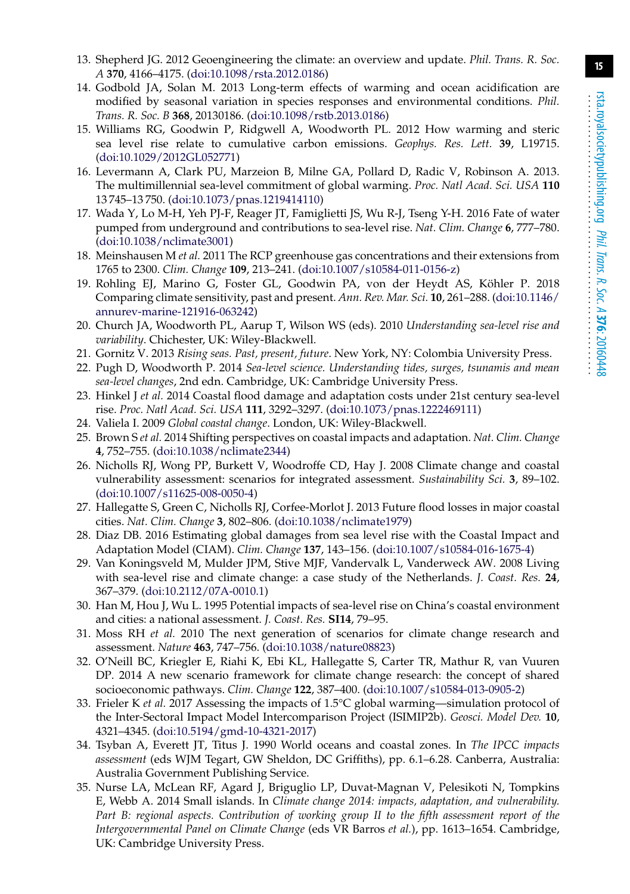- <span id="page-14-0"></span>13. Shepherd JG. 2012 Geoengineering the climate: an overview and update. *Phil. Trans. R. Soc. A* **370**, 4166–4175. [\(doi:10.1098/rsta.2012.0186\)](http://dx.doi.org/10.1098/rsta.2012.0186)
- <span id="page-14-1"></span>14. Godbold JA, Solan M. 2013 Long-term effects of warming and ocean acidification are modified by seasonal variation in species responses and environmental conditions. *Phil. Trans. R. Soc. B* **368**, 20130186. [\(doi:10.1098/rstb.2013.0186\)](http://dx.doi.org/10.1098/rstb.2013.0186)
- <span id="page-14-2"></span>15. Williams RG, Goodwin P, Ridgwell A, Woodworth PL. 2012 How warming and steric sea level rise relate to cumulative carbon emissions. *Geophys. Res. Lett.* **39**, L19715. [\(doi:10.1029/2012GL052771\)](http://dx.doi.org/10.1029/2012GL052771)
- <span id="page-14-3"></span>16. Levermann A, Clark PU, Marzeion B, Milne GA, Pollard D, Radic V, Robinson A. 2013. The multimillennial sea-level commitment of global warming. *Proc. Natl Acad. Sci. USA* **110** 13 745–13 750. [\(doi:10.1073/pnas.1219414110\)](http://dx.doi.org/10.1073/pnas.1219414110)
- <span id="page-14-4"></span>17. Wada Y, Lo M-H, Yeh PJ-F, Reager JT, Famiglietti JS, Wu R-J, Tseng Y-H. 2016 Fate of water pumped from underground and contributions to sea-level rise. *Nat. Clim. Change* **6**, 777–780. [\(doi:10.1038/nclimate3001\)](http://dx.doi.org/10.1038/nclimate3001)
- <span id="page-14-5"></span>18. Meinshausen M *et al.* 2011 The RCP greenhouse gas concentrations and their extensions from 1765 to 2300. *Clim. Change* **109**, 213–241. [\(doi:10.1007/s10584-011-0156-z\)](http://dx.doi.org/10.1007/s10584-011-0156-z)
- <span id="page-14-6"></span>19. Rohling EJ, Marino G, Foster GL, Goodwin PA, von der Heydt AS, Köhler P. 2018 Comparing climate sensitivity, past and present. *Ann. Rev. Mar. Sci.* **10**, 261–288. [\(doi:10.1146/](http://dx.doi.org/10.1146/annurev-marine-121916-063242) [annurev-marine-121916-063242\)](http://dx.doi.org/10.1146/annurev-marine-121916-063242)
- <span id="page-14-7"></span>20. Church JA, Woodworth PL, Aarup T, Wilson WS (eds). 2010 *Understanding sea-level rise and variability*. Chichester, UK: Wiley-Blackwell.
- <span id="page-14-8"></span>21. Gornitz V. 2013 *Rising seas. Past, present, future*. New York, NY: Colombia University Press.
- 22. Pugh D, Woodworth P. 2014 *Sea-level science. Understanding tides, surges, tsunamis and mean sea-level changes*, 2nd edn. Cambridge, UK: Cambridge University Press.
- <span id="page-14-9"></span>23. Hinkel J *et al.* 2014 Coastal flood damage and adaptation costs under 21st century sea-level rise. *Proc. Natl Acad. Sci. USA* **111**, 3292–3297. [\(doi:10.1073/pnas.1222469111\)](http://dx.doi.org/10.1073/pnas.1222469111)
- <span id="page-14-11"></span><span id="page-14-10"></span>24. Valiela I. 2009 *Global coastal change*. London, UK: Wiley-Blackwell.
- 25. Brown S *et al.* 2014 Shifting perspectives on coastal impacts and adaptation. *Nat. Clim. Change* **4**, 752–755. [\(doi:10.1038/nclimate2344\)](http://dx.doi.org/10.1038/nclimate2344)
- <span id="page-14-12"></span>26. Nicholls RJ, Wong PP, Burkett V, Woodroffe CD, Hay J. 2008 Climate change and coastal vulnerability assessment: scenarios for integrated assessment. *Sustainability Sci.* **3**, 89–102. [\(doi:10.1007/s11625-008-0050-4\)](http://dx.doi.org/10.1007/s11625-008-0050-4)
- <span id="page-14-13"></span>27. Hallegatte S, Green C, Nicholls RJ, Corfee-Morlot J. 2013 Future flood losses in major coastal cities. *Nat. Clim. Change* **3**, 802–806. [\(doi:10.1038/nclimate1979\)](http://dx.doi.org/10.1038/nclimate1979)
- <span id="page-14-14"></span>28. Diaz DB. 2016 Estimating global damages from sea level rise with the Coastal Impact and Adaptation Model (CIAM). *Clim. Change* **137**, 143–156. [\(doi:10.1007/s10584-016-1675-4\)](http://dx.doi.org/10.1007/s10584-016-1675-4)
- <span id="page-14-15"></span>29. Van Koningsveld M, Mulder JPM, Stive MJF, Vandervalk L, Vanderweck AW. 2008 Living with sea-level rise and climate change: a case study of the Netherlands. *J. Coast. Res.* **24**, 367–379. [\(doi:10.2112/07A-0010.1\)](http://dx.doi.org/10.2112/07A-0010.1)
- <span id="page-14-16"></span>30. Han M, Hou J, Wu L. 1995 Potential impacts of sea-level rise on China's coastal environment and cities: a national assessment. *J. Coast. Res.* **SI14**, 79–95.
- <span id="page-14-17"></span>31. Moss RH *et al.* 2010 The next generation of scenarios for climate change research and assessment. *Nature* **463**, 747–756. [\(doi:10.1038/nature08823\)](http://dx.doi.org/10.1038/nature08823)
- <span id="page-14-18"></span>32. O'Neill BC, Kriegler E, Riahi K, Ebi KL, Hallegatte S, Carter TR, Mathur R, van Vuuren DP. 2014 A new scenario framework for climate change research: the concept of shared socioeconomic pathways. *Clim. Change* **122**, 387–400. [\(doi:10.1007/s10584-013-0905-2\)](http://dx.doi.org/10.1007/s10584-013-0905-2)
- <span id="page-14-19"></span>33. Frieler K *et al.* 2017 Assessing the impacts of 1.5°C global warming—simulation protocol of the Inter-Sectoral Impact Model Intercomparison Project (ISIMIP2b). *Geosci. Model Dev.* **10**, 4321–4345. [\(doi:10.5194/gmd-10-4321-2017\)](http://dx.doi.org/10.5194/gmd-10-4321-2017)
- <span id="page-14-20"></span>34. Tsyban A, Everett JT, Titus J. 1990 World oceans and coastal zones. In *The IPCC impacts assessment* (eds WJM Tegart, GW Sheldon, DC Griffiths), pp. 6.1–6.28. Canberra, Australia: Australia Government Publishing Service.
- <span id="page-14-21"></span>35. Nurse LA, McLean RF, Agard J, Briguglio LP, Duvat-Magnan V, Pelesikoti N, Tompkins E, Webb A. 2014 Small islands. In *Climate change 2014: impacts, adaptation, and vulnerability. Part B: regional aspects. Contribution of working group II to the fifth assessment report of the Intergovernmental Panel on Climate Change* (eds VR Barros *et al.*), pp. 1613–1654. Cambridge, UK: Cambridge University Press.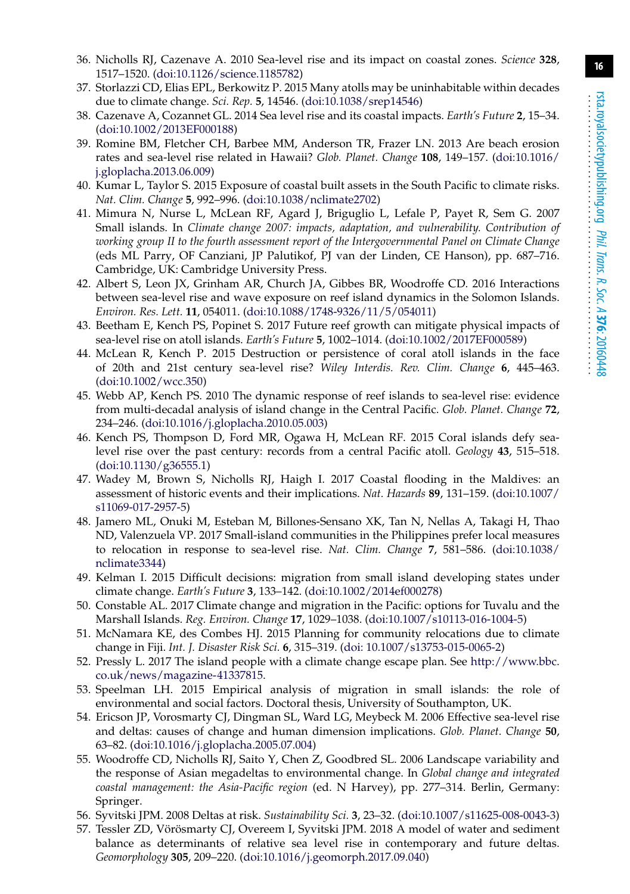- <span id="page-15-0"></span>36. Nicholls RJ, Cazenave A. 2010 Sea-level rise and its impact on coastal zones. *Science* **328**, 1517–1520. [\(doi:10.1126/science.1185782\)](http://dx.doi.org/10.1126/science.1185782)
- <span id="page-15-1"></span>37. Storlazzi CD, Elias EPL, Berkowitz P. 2015 Many atolls may be uninhabitable within decades due to climate change. *Sci. Rep.* **5**, 14546. [\(doi:10.1038/srep14546\)](http://dx.doi.org/10.1038/srep14546)
- <span id="page-15-2"></span>38. Cazenave A, Cozannet GL. 2014 Sea level rise and its coastal impacts. *Earth's Future* **2**, 15–34. [\(doi:10.1002/2013EF000188\)](http://dx.doi.org/10.1002/2013EF000188)
- <span id="page-15-3"></span>39. Romine BM, Fletcher CH, Barbee MM, Anderson TR, Frazer LN. 2013 Are beach erosion rates and sea-level rise related in Hawaii? *Glob. Planet. Change* **108**, 149–157. [\(doi:10.1016/](http://dx.doi.org/10.1016/j.gloplacha.2013.06.009) [j.gloplacha.2013.06.009\)](http://dx.doi.org/10.1016/j.gloplacha.2013.06.009)
- <span id="page-15-4"></span>40. Kumar L, Taylor S. 2015 Exposure of coastal built assets in the South Pacific to climate risks. *Nat. Clim. Change* **5**, 992–996. [\(doi:10.1038/nclimate2702\)](http://dx.doi.org/10.1038/nclimate2702)
- <span id="page-15-5"></span>41. Mimura N, Nurse L, McLean RF, Agard J, Briguglio L, Lefale P, Payet R, Sem G. 2007 Small islands. In *Climate change 2007: impacts, adaptation, and vulnerability. Contribution of working group II to the fourth assessment report of the Intergovernmental Panel on Climate Change* (eds ML Parry, OF Canziani, JP Palutikof, PJ van der Linden, CE Hanson), pp. 687–716. Cambridge, UK: Cambridge University Press.
- <span id="page-15-6"></span>42. Albert S, Leon JX, Grinham AR, Church JA, Gibbes BR, Woodroffe CD. 2016 Interactions between sea-level rise and wave exposure on reef island dynamics in the Solomon Islands. *Environ. Res. Lett.* **11**, 054011. [\(doi:10.1088/1748-9326/11/5/054011\)](http://dx.doi.org/10.1088/1748-9326/11/5/054011)
- <span id="page-15-7"></span>43. Beetham E, Kench PS, Popinet S. 2017 Future reef growth can mitigate physical impacts of sea-level rise on atoll islands. *Earth's Future* **5**, 1002–1014. [\(doi:10.1002/2017EF000589\)](http://dx.doi.org/10.1002/2017EF000589)
- 44. McLean R, Kench P. 2015 Destruction or persistence of coral atoll islands in the face of 20th and 21st century sea-level rise? *Wiley Interdis. Rev. Clim. Change* **6**, 445–463. [\(doi:10.1002/wcc.350\)](http://dx.doi.org/10.1002/wcc.350)
- <span id="page-15-8"></span>45. Webb AP, Kench PS. 2010 The dynamic response of reef islands to sea-level rise: evidence from multi-decadal analysis of island change in the Central Pacific. *Glob. Planet. Change* **72**, 234–246. [\(doi:10.1016/j.gloplacha.2010.05.003\)](http://dx.doi.org/10.1016/j.gloplacha.2010.05.003)
- <span id="page-15-9"></span>46. Kench PS, Thompson D, Ford MR, Ogawa H, McLean RF. 2015 Coral islands defy sealevel rise over the past century: records from a central Pacific atoll. *Geology* **43**, 515–518. [\(doi:10.1130/g36555.1\)](http://dx.doi.org/10.1130/g36555.1)
- <span id="page-15-10"></span>47. Wadey M, Brown S, Nicholls RJ, Haigh I. 2017 Coastal flooding in the Maldives: an assessment of historic events and their implications. *Nat. Hazards* **89**, 131–159. [\(doi:10.1007/](http://dx.doi.org/10.1007/s11069-017-2957-5) [s11069-017-2957-5\)](http://dx.doi.org/10.1007/s11069-017-2957-5)
- <span id="page-15-11"></span>48. Jamero ML, Onuki M, Esteban M, Billones-Sensano XK, Tan N, Nellas A, Takagi H, Thao ND, Valenzuela VP. 2017 Small-island communities in the Philippines prefer local measures to relocation in response to sea-level rise. *Nat. Clim. Change* **7**, 581–586. [\(doi:10.1038/](http://dx.doi.org/10.1038/nclimate3344) [nclimate3344\)](http://dx.doi.org/10.1038/nclimate3344)
- <span id="page-15-12"></span>49. Kelman I. 2015 Difficult decisions: migration from small island developing states under climate change. *Earth's Future* **3**, 133–142. [\(doi:10.1002/2014ef000278\)](http://dx.doi.org/10.1002/2014ef000278)
- <span id="page-15-13"></span>50. Constable AL. 2017 Climate change and migration in the Pacific: options for Tuvalu and the Marshall Islands. *Reg. Environ. Change* **17**, 1029–1038. [\(doi:10.1007/s10113-016-1004-5\)](http://dx.doi.org/10.1007/s10113-016-1004-5)
- <span id="page-15-14"></span>51. McNamara KE, des Combes HJ. 2015 Planning for community relocations due to climate change in Fiji. *Int. J. Disaster Risk Sci.* **6**, 315–319. [\(doi: 10.1007/s13753-015-0065-2\)](http://dx.doi.org/10.1007/s13753-015-0065-2)
- <span id="page-15-15"></span>52. Pressly L. 2017 The island people with a climate change escape plan. See [http://www.bbc.](http://www.bbc.co.uk/news/magazine-41337815) [co.uk/news/magazine-41337815.](http://www.bbc.co.uk/news/magazine-41337815)
- <span id="page-15-16"></span>53. Speelman LH. 2015 Empirical analysis of migration in small islands: the role of environmental and social factors. Doctoral thesis, University of Southampton, UK.
- <span id="page-15-17"></span>54. Ericson JP, Vorosmarty CJ, Dingman SL, Ward LG, Meybeck M. 2006 Effective sea-level rise and deltas: causes of change and human dimension implications. *Glob. Planet. Change* **50**, 63–82. [\(doi:10.1016/j.gloplacha.2005.07.004\)](http://dx.doi.org/10.1016/j.gloplacha.2005.07.004)
- <span id="page-15-18"></span>55. Woodroffe CD, Nicholls RJ, Saito Y, Chen Z, Goodbred SL. 2006 Landscape variability and the response of Asian megadeltas to environmental change. In *Global change and integrated coastal management: the Asia-Pacific region* (ed. N Harvey), pp. 277–314. Berlin, Germany: Springer.
- <span id="page-15-20"></span><span id="page-15-19"></span>56. Syvitski JPM. 2008 Deltas at risk. *Sustainability Sci.* **3**, 23–32. [\(doi:10.1007/s11625-008-0043-3\)](http://dx.doi.org/10.1007/s11625-008-0043-3)
- 57. Tessler ZD, Vörösmarty CJ, Overeem I, Syvitski JPM. 2018 A model of water and sediment balance as determinants of relative sea level rise in contemporary and future deltas. *Geomorphology* **305**, 209–220. [\(doi:10.1016/j.geomorph.2017.09.040\)](http://dx.doi.org/10.1016/j.geomorph.2017.09.040)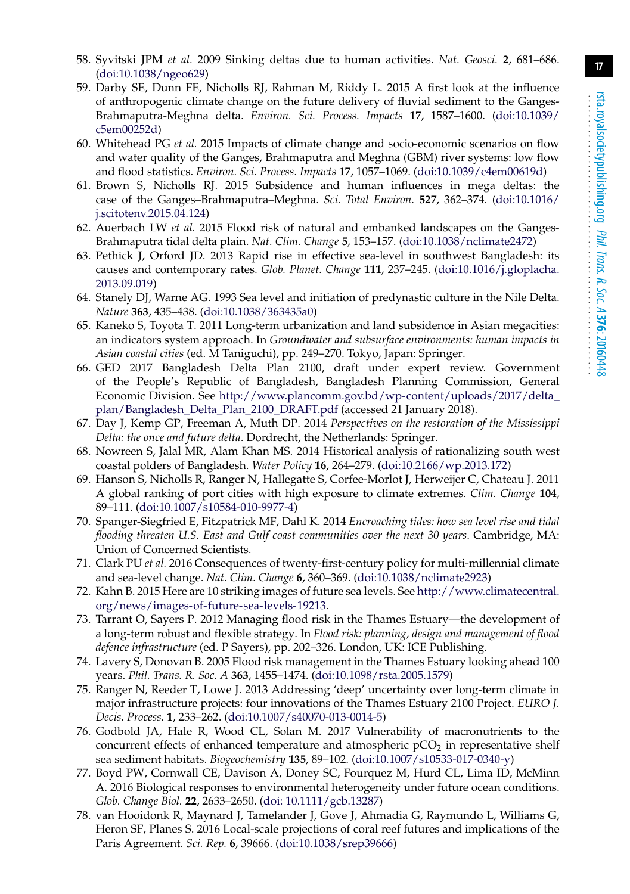- <span id="page-16-0"></span>58. Syvitski JPM *et al.* 2009 Sinking deltas due to human activities. *Nat. Geosci.* **2**, 681–686. [\(doi:10.1038/ngeo629\)](http://dx.doi.org/10.1038/ngeo629)
- <span id="page-16-1"></span>59. Darby SE, Dunn FE, Nicholls RJ, Rahman M, Riddy L. 2015 A first look at the influence of anthropogenic climate change on the future delivery of fluvial sediment to the Ganges-Brahmaputra-Meghna delta. *Environ. Sci. Process. Impacts* **17**, 1587–1600. [\(doi:10.1039/](http://dx.doi.org/10.1039/c5em00252d) [c5em00252d\)](http://dx.doi.org/10.1039/c5em00252d)
- <span id="page-16-2"></span>60. Whitehead PG *et al.* 2015 Impacts of climate change and socio-economic scenarios on flow and water quality of the Ganges, Brahmaputra and Meghna (GBM) river systems: low flow and flood statistics. *Environ. Sci. Process. Impacts* **17**, 1057–1069. [\(doi:10.1039/c4em00619d\)](http://dx.doi.org/10.1039/c4em00619d)
- <span id="page-16-3"></span>61. Brown S, Nicholls RJ. 2015 Subsidence and human influences in mega deltas: the case of the Ganges–Brahmaputra–Meghna. *Sci. Total Environ.* **527**, 362–374. [\(doi:10.1016/](http://dx.doi.org/10.1016/j.scitotenv.2015.04.124) [j.scitotenv.2015.04.124\)](http://dx.doi.org/10.1016/j.scitotenv.2015.04.124)
- <span id="page-16-4"></span>62. Auerbach LW *et al.* 2015 Flood risk of natural and embanked landscapes on the Ganges-Brahmaputra tidal delta plain. *Nat. Clim. Change* **5**, 153–157. [\(doi:10.1038/nclimate2472\)](http://dx.doi.org/10.1038/nclimate2472)
- <span id="page-16-5"></span>63. Pethick J, Orford JD. 2013 Rapid rise in effective sea-level in southwest Bangladesh: its causes and contemporary rates. *Glob. Planet. Change* **111**, 237–245. [\(doi:10.1016/j.gloplacha.](http://dx.doi.org/10.1016/j.gloplacha.2013.09.019) [2013.09.019\)](http://dx.doi.org/10.1016/j.gloplacha.2013.09.019)
- <span id="page-16-6"></span>64. Stanely DJ, Warne AG. 1993 Sea level and initiation of predynastic culture in the Nile Delta. *Nature* **363**, 435–438. [\(doi:10.1038/363435a0\)](http://dx.doi.org/10.1038/363435a0)
- <span id="page-16-7"></span>65. Kaneko S, Toyota T. 2011 Long-term urbanization and land subsidence in Asian megacities: an indicators system approach. In *Groundwater and subsurface environments: human impacts in Asian coastal cities* (ed. M Taniguchi), pp. 249–270. Tokyo, Japan: Springer.
- <span id="page-16-8"></span>66. GED 2017 Bangladesh Delta Plan 2100, draft under expert review. Government of the People's Republic of Bangladesh, Bangladesh Planning Commission, General Economic Division. See [http://www.plancomm.gov.bd/wp-content/uploads/2017/delta\\_](http://www.plancomm.gov.bd/wp-content/uploads/2017/delta_plan/Bangladesh_Delta_Plan_2100_DRAFT.pdf) [plan/Bangladesh\\_Delta\\_Plan\\_2100\\_DRAFT.pdf](http://www.plancomm.gov.bd/wp-content/uploads/2017/delta_plan/Bangladesh_Delta_Plan_2100_DRAFT.pdf) (accessed 21 January 2018).
- <span id="page-16-9"></span>67. Day J, Kemp GP, Freeman A, Muth DP. 2014 *Perspectives on the restoration of the Mississippi Delta: the once and future delta*. Dordrecht, the Netherlands: Springer.
- <span id="page-16-10"></span>68. Nowreen S, Jalal MR, Alam Khan MS. 2014 Historical analysis of rationalizing south west coastal polders of Bangladesh. *Water Policy* **16**, 264–279. [\(doi:10.2166/wp.2013.172\)](http://dx.doi.org/10.2166/wp.2013.172)
- <span id="page-16-11"></span>69. Hanson S, Nicholls R, Ranger N, Hallegatte S, Corfee-Morlot J, Herweijer C, Chateau J. 2011 A global ranking of port cities with high exposure to climate extremes. *Clim. Change* **104**, 89–111. [\(doi:10.1007/s10584-010-9977-4\)](http://dx.doi.org/10.1007/s10584-010-9977-4)
- <span id="page-16-12"></span>70. Spanger-Siegfried E, Fitzpatrick MF, Dahl K. 2014 *Encroaching tides: how sea level rise and tidal flooding threaten U.S. East and Gulf coast communities over the next 30 years*. Cambridge, MA: Union of Concerned Scientists.
- <span id="page-16-13"></span>71. Clark PU *et al.* 2016 Consequences of twenty-first-century policy for multi-millennial climate and sea-level change. *Nat. Clim. Change* **6**, 360–369. [\(doi:10.1038/nclimate2923\)](http://dx.doi.org/10.1038/nclimate2923)
- <span id="page-16-14"></span>72. Kahn B. 2015 Here are 10 striking images of future sea levels. See [http://www.climatecentral.](http://www.climatecentral.org/news/images-of-future-sea-levels-19213) [org/news/images-of-future-sea-levels-19213.](http://www.climatecentral.org/news/images-of-future-sea-levels-19213)
- <span id="page-16-15"></span>73. Tarrant O, Sayers P. 2012 Managing flood risk in the Thames Estuary—the development of a long-term robust and flexible strategy. In *Flood risk: planning, design and management of flood defence infrastructure* (ed. P Sayers), pp. 202–326. London, UK: ICE Publishing.
- <span id="page-16-16"></span>74. Lavery S, Donovan B. 2005 Flood risk management in the Thames Estuary looking ahead 100 years. *Phil. Trans. R. Soc. A* **363**, 1455–1474. [\(doi:10.1098/rsta.2005.1579\)](http://dx.doi.org/10.1098/rsta.2005.1579)
- <span id="page-16-17"></span>75. Ranger N, Reeder T, Lowe J. 2013 Addressing 'deep' uncertainty over long-term climate in major infrastructure projects: four innovations of the Thames Estuary 2100 Project. *EURO J. Decis. Process.* **1**, 233–262. [\(doi:10.1007/s40070-013-0014-5\)](http://dx.doi.org/10.1007/s40070-013-0014-5)
- <span id="page-16-18"></span>76. Godbold JA, Hale R, Wood CL, Solan M. 2017 Vulnerability of macronutrients to the concurrent effects of enhanced temperature and atmospheric  $pCO<sub>2</sub>$  in representative shelf sea sediment habitats. *Biogeochemistry* **135**, 89–102. [\(doi:10.1007/s10533-017-0340-y\)](http://dx.doi.org/10.1007/s10533-017-0340-y)
- <span id="page-16-19"></span>77. Boyd PW, Cornwall CE, Davison A, Doney SC, Fourquez M, Hurd CL, Lima ID, McMinn A. 2016 Biological responses to environmental heterogeneity under future ocean conditions. *Glob. Change Biol.* **22**, 2633–2650. [\(doi: 10.1111/gcb.13287\)](http://dx.doi.org/10.1111/gcb.13287)
- <span id="page-16-20"></span>78. van Hooidonk R, Maynard J, Tamelander J, Gove J, Ahmadia G, Raymundo L, Williams G, Heron SF, Planes S. 2016 Local-scale projections of coral reef futures and implications of the Paris Agreement. *Sci. Rep.* **6**, 39666. [\(doi:10.1038/srep39666\)](http://dx.doi.org/10.1038/srep39666)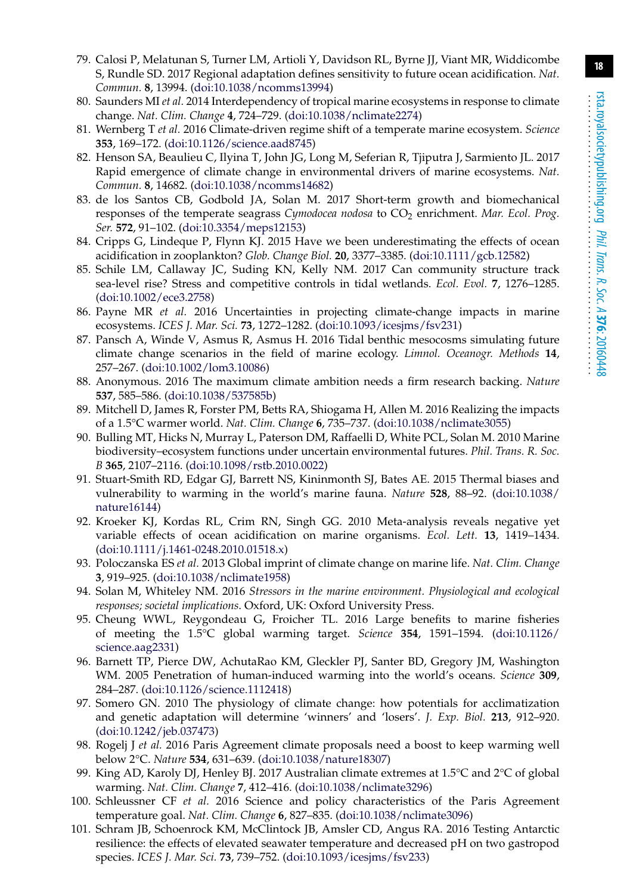- <span id="page-17-0"></span>79. Calosi P, Melatunan S, Turner LM, Artioli Y, Davidson RL, Byrne JJ, Viant MR, Widdicombe S, Rundle SD. 2017 Regional adaptation defines sensitivity to future ocean acidification. *Nat. Commun.* **8**, 13994. [\(doi:10.1038/ncomms13994\)](http://dx.doi.org/10.1038/ncomms13994)
- <span id="page-17-1"></span>80. Saunders MI *et al.* 2014 Interdependency of tropical marine ecosystems in response to climate change. *Nat. Clim. Change* **4**, 724–729. [\(doi:10.1038/nclimate2274\)](http://dx.doi.org/10.1038/nclimate2274)
- <span id="page-17-2"></span>81. Wernberg T *et al.* 2016 Climate-driven regime shift of a temperate marine ecosystem. *Science* **353**, 169–172. [\(doi:10.1126/science.aad8745\)](http://dx.doi.org/10.1126/science.aad8745)
- <span id="page-17-3"></span>82. Henson SA, Beaulieu C, Ilyina T, John JG, Long M, Seferian R, Tjiputra J, Sarmiento JL. 2017 Rapid emergence of climate change in environmental drivers of marine ecosystems. *Nat. Commun.* **8**, 14682. [\(doi:10.1038/ncomms14682\)](http://dx.doi.org/10.1038/ncomms14682)
- <span id="page-17-4"></span>83. de los Santos CB, Godbold JA, Solan M. 2017 Short-term growth and biomechanical responses of the temperate seagrass *Cymodocea nodosa* to CO2 enrichment. *Mar. Ecol. Prog. Ser.* **572**, 91–102. [\(doi:10.3354/meps12153\)](http://dx.doi.org/10.3354/meps12153)
- <span id="page-17-5"></span>84. Cripps G, Lindeque P, Flynn KJ. 2015 Have we been underestimating the effects of ocean acidification in zooplankton? *Glob. Change Biol.* **20**, 3377–3385. [\(doi:10.1111/gcb.12582\)](http://dx.doi.org/10.1111/gcb.12582)
- <span id="page-17-6"></span>85. Schile LM, Callaway JC, Suding KN, Kelly NM. 2017 Can community structure track sea-level rise? Stress and competitive controls in tidal wetlands. *Ecol. Evol.* **7**, 1276–1285. [\(doi:10.1002/ece3.2758\)](http://dx.doi.org/10.1002/ece3.2758)
- <span id="page-17-7"></span>86. Payne MR *et al.* 2016 Uncertainties in projecting climate-change impacts in marine ecosystems. *ICES J. Mar. Sci.* **73**, 1272–1282. [\(doi:10.1093/icesjms/fsv231\)](http://dx.doi.org/10.1093/icesjms/fsv231)
- <span id="page-17-8"></span>87. Pansch A, Winde V, Asmus R, Asmus H. 2016 Tidal benthic mesocosms simulating future climate change scenarios in the field of marine ecology. *Limnol. Oceanogr. Methods* **14**, 257–267. [\(doi:10.1002/lom3.10086\)](http://dx.doi.org/10.1002/lom3.10086)
- <span id="page-17-9"></span>88. Anonymous. 2016 The maximum climate ambition needs a firm research backing. *Nature* **537**, 585–586. [\(doi:10.1038/537585b\)](http://dx.doi.org/10.1038/537585b)
- <span id="page-17-10"></span>89. Mitchell D, James R, Forster PM, Betts RA, Shiogama H, Allen M. 2016 Realizing the impacts of a 1.5°C warmer world. *Nat. Clim. Change* **6**, 735–737. [\(doi:10.1038/nclimate3055\)](http://dx.doi.org/10.1038/nclimate3055)
- <span id="page-17-11"></span>90. Bulling MT, Hicks N, Murray L, Paterson DM, Raffaelli D, White PCL, Solan M. 2010 Marine biodiversity–ecosystem functions under uncertain environmental futures. *Phil. Trans. R. Soc. B* **365**, 2107–2116. [\(doi:10.1098/rstb.2010.0022\)](http://dx.doi.org/10.1098/rstb.2010.0022)
- <span id="page-17-12"></span>91. Stuart-Smith RD, Edgar GJ, Barrett NS, Kininmonth SJ, Bates AE. 2015 Thermal biases and vulnerability to warming in the world's marine fauna. *Nature* **528**, 88–92. [\(doi:10.1038/](http://dx.doi.org/10.1038/nature16144) [nature16144\)](http://dx.doi.org/10.1038/nature16144)
- <span id="page-17-13"></span>92. Kroeker KJ, Kordas RL, Crim RN, Singh GG. 2010 Meta-analysis reveals negative yet variable effects of ocean acidification on marine organisms. *Ecol. Lett.* **13**, 1419–1434. [\(doi:10.1111/j.1461-0248.2010.01518.x\)](http://dx.doi.org/10.1111/j.1461-0248.2010.01518.x)
- <span id="page-17-14"></span>93. Poloczanska ES *et al.* 2013 Global imprint of climate change on marine life. *Nat. Clim. Change* **3**, 919–925. [\(doi:10.1038/nclimate1958\)](http://dx.doi.org/10.1038/nclimate1958)
- 94. Solan M, Whiteley NM. 2016 *Stressors in the marine environment. Physiological and ecological responses; societal implications*. Oxford, UK: Oxford University Press.
- <span id="page-17-15"></span>95. Cheung WWL, Reygondeau G, Froicher TL. 2016 Large benefits to marine fisheries of meeting the 1.5°C global warming target. *Science* **354**, 1591–1594. [\(doi:10.1126/](http://dx.doi.org/10.1126/science.aag2331) [science.aag2331\)](http://dx.doi.org/10.1126/science.aag2331)
- <span id="page-17-16"></span>96. Barnett TP, Pierce DW, AchutaRao KM, Gleckler PJ, Santer BD, Gregory JM, Washington WM. 2005 Penetration of human-induced warming into the world's oceans. *Science* **309**, 284–287. [\(doi:10.1126/science.1112418\)](http://dx.doi.org/10.1126/science.1112418)
- <span id="page-17-17"></span>97. Somero GN. 2010 The physiology of climate change: how potentials for acclimatization and genetic adaptation will determine 'winners' and 'losers'. *J. Exp. Biol.* **213**, 912–920. [\(doi:10.1242/jeb.037473\)](http://dx.doi.org/10.1242/jeb.037473)
- <span id="page-17-18"></span>98. Rogelj J *et al.* 2016 Paris Agreement climate proposals need a boost to keep warming well below 2°C. *Nature* **534**, 631–639. [\(doi:10.1038/nature18307\)](http://dx.doi.org/10.1038/nature18307)
- 99. King AD, Karoly DJ, Henley BJ. 2017 Australian climate extremes at 1.5°C and 2°C of global warming. *Nat. Clim. Change* **7**, 412–416. [\(doi:10.1038/nclimate3296\)](http://dx.doi.org/10.1038/nclimate3296)
- <span id="page-17-19"></span>100. Schleussner CF *et al.* 2016 Science and policy characteristics of the Paris Agreement temperature goal. *Nat. Clim. Change* **6**, 827–835. [\(doi:10.1038/nclimate3096\)](http://dx.doi.org/10.1038/nclimate3096)
- <span id="page-17-20"></span>101. Schram JB, Schoenrock KM, McClintock JB, Amsler CD, Angus RA. 2016 Testing Antarctic resilience: the effects of elevated seawater temperature and decreased pH on two gastropod species. *ICES J. Mar. Sci.* **73**, 739–752. [\(doi:10.1093/icesjms/fsv233\)](http://dx.doi.org/10.1093/icesjms/fsv233)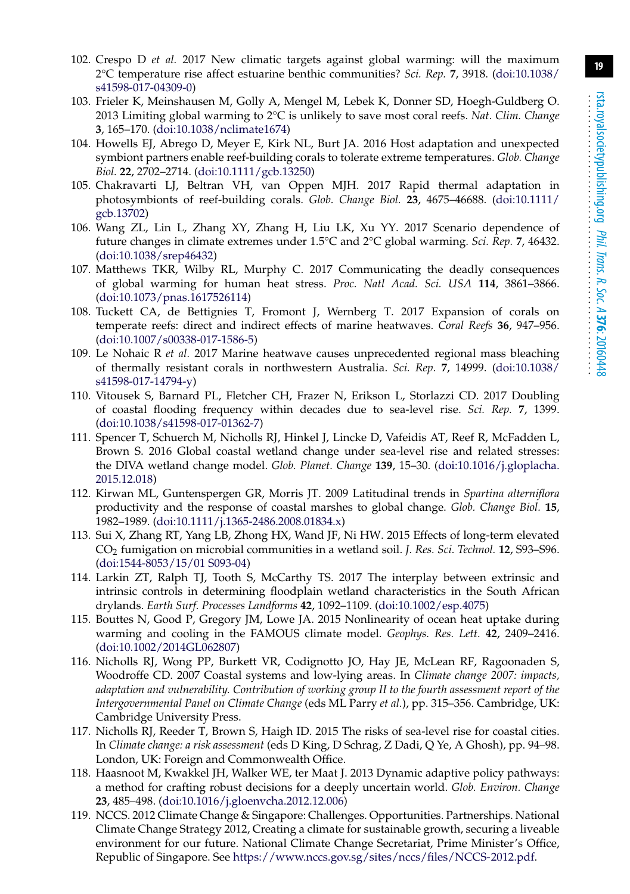- <span id="page-18-0"></span>102. Crespo D *et al.* 2017 New climatic targets against global warming: will the maximum 2°C temperature rise affect estuarine benthic communities? *Sci. Rep.* **7**, 3918. [\(doi:10.1038/](http://dx.doi.org/10.1038/s41598-017-04309-0) [s41598-017-04309-0\)](http://dx.doi.org/10.1038/s41598-017-04309-0)
- <span id="page-18-1"></span>103. Frieler K, Meinshausen M, Golly A, Mengel M, Lebek K, Donner SD, Hoegh-Guldberg O. 2013 Limiting global warming to 2°C is unlikely to save most coral reefs. *Nat. Clim. Change* **3**, 165–170. [\(doi:10.1038/nclimate1674\)](http://dx.doi.org/10.1038/nclimate1674)
- <span id="page-18-2"></span>104. Howells EJ, Abrego D, Meyer E, Kirk NL, Burt JA. 2016 Host adaptation and unexpected symbiont partners enable reef-building corals to tolerate extreme temperatures. *Glob. Change Biol.* **22**, 2702–2714. [\(doi:10.1111/gcb.13250\)](http://dx.doi.org/10.1111/gcb.13250)
- <span id="page-18-3"></span>105. Chakravarti LJ, Beltran VH, van Oppen MJH. 2017 Rapid thermal adaptation in photosymbionts of reef-building corals. *Glob. Change Biol.* **23**, 4675–46688. [\(doi:10.1111/](http://dx.doi.org/10.1111/gcb.13702) [gcb.13702\)](http://dx.doi.org/10.1111/gcb.13702)
- <span id="page-18-4"></span>106. Wang ZL, Lin L, Zhang XY, Zhang H, Liu LK, Xu YY. 2017 Scenario dependence of future changes in climate extremes under 1.5°C and 2°C global warming. *Sci. Rep.* **7**, 46432. [\(doi:10.1038/srep46432\)](http://dx.doi.org/10.1038/srep46432)
- <span id="page-18-5"></span>107. Matthews TKR, Wilby RL, Murphy C. 2017 Communicating the deadly consequences of global warming for human heat stress. *Proc. Natl Acad. Sci. USA* **114**, 3861–3866. [\(doi:10.1073/pnas.1617526114\)](http://dx.doi.org/10.1073/pnas.1617526114)
- <span id="page-18-6"></span>108. Tuckett CA, de Bettignies T, Fromont J, Wernberg T. 2017 Expansion of corals on temperate reefs: direct and indirect effects of marine heatwaves. *Coral Reefs* **36**, 947–956. [\(doi:10.1007/s00338-017-1586-5\)](http://dx.doi.org/10.1007/s00338-017-1586-5)
- <span id="page-18-7"></span>109. Le Nohaic R *et al.* 2017 Marine heatwave causes unprecedented regional mass bleaching of thermally resistant corals in northwestern Australia. *Sci. Rep.* **7**, 14999. [\(doi:10.1038/](http://dx.doi.org/10.1038/s41598-017-14794-y) [s41598-017-14794-y\)](http://dx.doi.org/10.1038/s41598-017-14794-y)
- <span id="page-18-8"></span>110. Vitousek S, Barnard PL, Fletcher CH, Frazer N, Erikson L, Storlazzi CD. 2017 Doubling of coastal flooding frequency within decades due to sea-level rise. *Sci. Rep.* **7**, 1399. [\(doi:10.1038/s41598-017-01362-7\)](http://dx.doi.org/10.1038/s41598-017-01362-7)
- <span id="page-18-9"></span>111. Spencer T, Schuerch M, Nicholls RJ, Hinkel J, Lincke D, Vafeidis AT, Reef R, McFadden L, Brown S. 2016 Global coastal wetland change under sea-level rise and related stresses: the DIVA wetland change model. *Glob. Planet. Change* **139**, 15–30. [\(doi:10.1016/j.gloplacha.](http://dx.doi.org/10.1016/j.gloplacha.2015.12.018) [2015.12.018\)](http://dx.doi.org/10.1016/j.gloplacha.2015.12.018)
- <span id="page-18-10"></span>112. Kirwan ML, Guntenspergen GR, Morris JT. 2009 Latitudinal trends in *Spartina alterniflora* productivity and the response of coastal marshes to global change. *Glob. Change Biol.* **15**, 1982–1989. [\(doi:10.1111/j.1365-2486.2008.01834.x\)](http://dx.doi.org/10.1111/j.1365-2486.2008.01834.x)
- <span id="page-18-11"></span>113. Sui X, Zhang RT, Yang LB, Zhong HX, Wand JF, Ni HW. 2015 Effects of long-term elevated CO2 fumigation on microbial communities in a wetland soil. *J. Res. Sci. Technol.* **12**, S93–S96. [\(doi:1544-8053/15/01 S093-04\)](http://dx.doi.org/1544-8053/15/01 S093-04)
- <span id="page-18-12"></span>114. Larkin ZT, Ralph TJ, Tooth S, McCarthy TS. 2017 The interplay between extrinsic and intrinsic controls in determining floodplain wetland characteristics in the South African drylands. *Earth Surf. Processes Landforms* **42**, 1092–1109. [\(doi:10.1002/esp.4075\)](http://dx.doi.org/10.1002/esp.4075)
- <span id="page-18-13"></span>115. Bouttes N, Good P, Gregory JM, Lowe JA. 2015 Nonlinearity of ocean heat uptake during warming and cooling in the FAMOUS climate model. *Geophys. Res. Lett.* **42**, 2409–2416. [\(doi:10.1002/2014GL062807\)](http://dx.doi.org/10.1002/2014GL062807)
- <span id="page-18-14"></span>116. Nicholls RJ, Wong PP, Burkett VR, Codignotto JO, Hay JE, McLean RF, Ragoonaden S, Woodroffe CD. 2007 Coastal systems and low-lying areas. In *Climate change 2007: impacts, adaptation and vulnerability. Contribution of working group II to the fourth assessment report of the Intergovernmental Panel on Climate Change* (eds ML Parry *et al.*), pp. 315–356. Cambridge, UK: Cambridge University Press.
- <span id="page-18-15"></span>117. Nicholls RJ, Reeder T, Brown S, Haigh ID. 2015 The risks of sea-level rise for coastal cities. In *Climate change: a risk assessment* (eds D King, D Schrag, Z Dadi, Q Ye, A Ghosh), pp. 94–98. London, UK: Foreign and Commonwealth Office.
- <span id="page-18-16"></span>118. Haasnoot M, Kwakkel JH, Walker WE, ter Maat J. 2013 Dynamic adaptive policy pathways: a method for crafting robust decisions for a deeply uncertain world. *Glob. Environ. Change* **23**, 485–498. [\(doi:10.1016/j.gloenvcha.2012.12.006\)](http://dx.doi.org/10.1016/j.gloenvcha.2012.12.006)
- <span id="page-18-17"></span>119. NCCS. 2012 Climate Change & Singapore: Challenges. Opportunities. Partnerships. National Climate Change Strategy 2012, Creating a climate for sustainable growth, securing a liveable environment for our future. National Climate Change Secretariat, Prime Minister's Office, Republic of Singapore. See [https://www.nccs.gov.sg/sites/nccs/files/NCCS-2012.pdf.](https://www.nccs.gov.sg/sites/nccs/files/NCCS-2012.pdf)